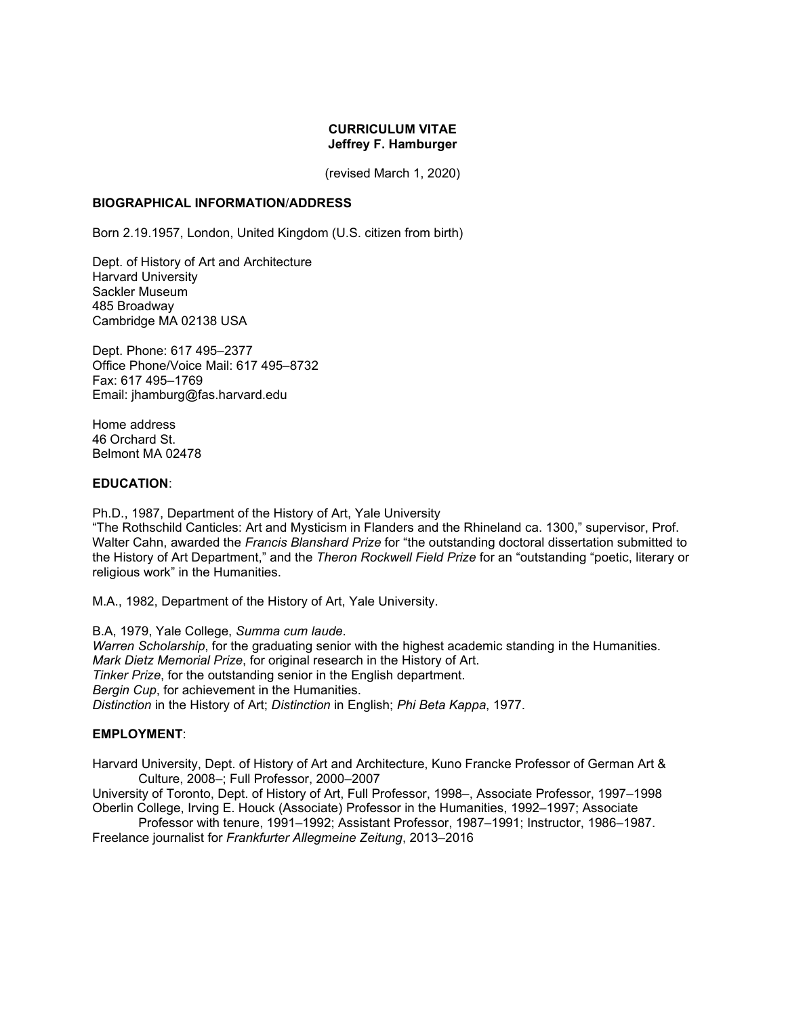## **CURRICULUM VITAE Jeffrey F. Hamburger**

(revised March 1, 2020)

### **BIOGRAPHICAL INFORMATION**/**ADDRESS**

Born 2.19.1957, London, United Kingdom (U.S. citizen from birth)

Dept. of History of Art and Architecture Harvard University Sackler Museum 485 Broadway Cambridge MA 02138 USA

Dept. Phone: 617 495–2377 Office Phone/Voice Mail: 617 495–8732 Fax: 617 495–1769 Email: jhamburg@fas.harvard.edu

Home address 46 Orchard St. Belmont MA 02478

### **EDUCATION**:

Ph.D., 1987, Department of the History of Art, Yale University

"The Rothschild Canticles: Art and Mysticism in Flanders and the Rhineland ca. 1300," supervisor, Prof. Walter Cahn, awarded the *Francis Blanshard Prize* for "the outstanding doctoral dissertation submitted to the History of Art Department," and the *Theron Rockwell Field Prize* for an "outstanding "poetic, literary or religious work" in the Humanities.

M.A., 1982, Department of the History of Art, Yale University.

B.A, 1979, Yale College, *Summa cum laude*. *Warren Scholarship*, for the graduating senior with the highest academic standing in the Humanities. *Mark Dietz Memorial Prize*, for original research in the History of Art. *Tinker Prize*, for the outstanding senior in the English department. *Bergin Cup*, for achievement in the Humanities. *Distinction* in the History of Art; *Distinction* in English; *Phi Beta Kappa*, 1977.

## **EMPLOYMENT**:

Harvard University, Dept. of History of Art and Architecture, Kuno Francke Professor of German Art & Culture, 2008–; Full Professor, 2000–2007

University of Toronto, Dept. of History of Art, Full Professor, 1998–, Associate Professor, 1997–1998 Oberlin College, Irving E. Houck (Associate) Professor in the Humanities, 1992–1997; Associate

Professor with tenure, 1991–1992; Assistant Professor, 1987–1991; Instructor, 1986–1987. Freelance journalist for *Frankfurter Allegmeine Zeitung*, 2013–2016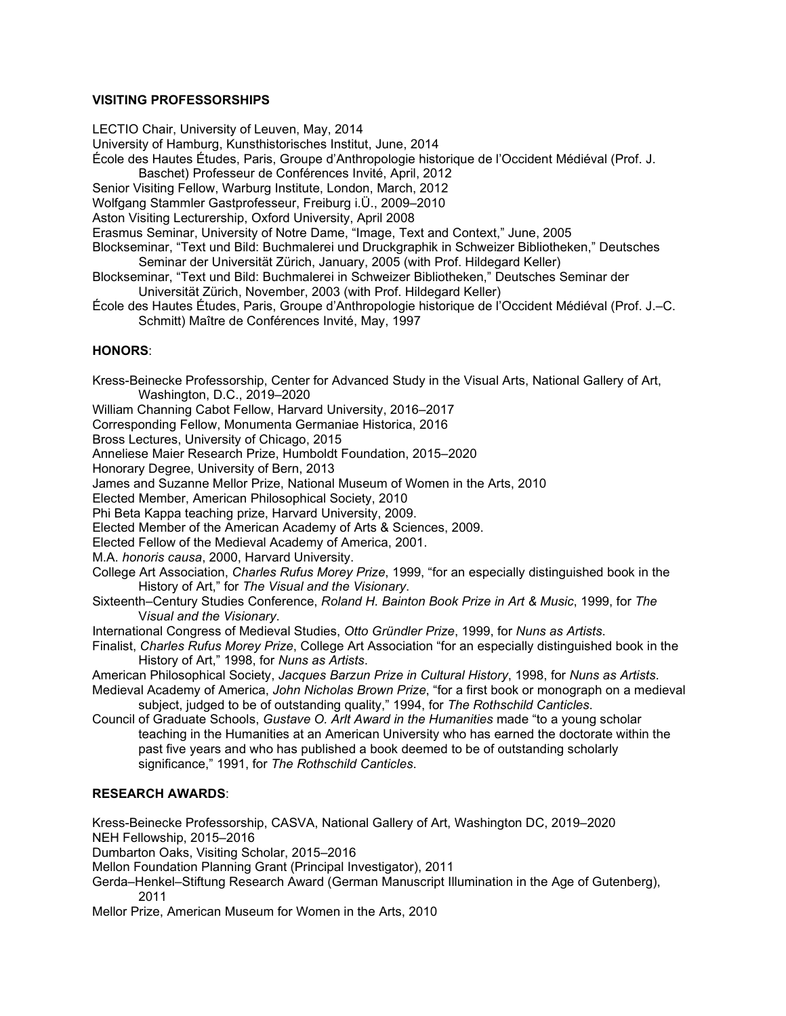# **VISITING PROFESSORSHIPS**

LECTIO Chair, University of Leuven, May, 2014

University of Hamburg, Kunsthistorisches Institut, June, 2014

École des Hautes Études, Paris, Groupe d'Anthropologie historique de l'Occident Médiéval (Prof. J.

Baschet) Professeur de Conférences Invité, April, 2012

Senior Visiting Fellow, Warburg Institute, London, March, 2012

Wolfgang Stammler Gastprofesseur, Freiburg i.Ü., 2009–2010

Aston Visiting Lecturership, Oxford University, April 2008

Erasmus Seminar, University of Notre Dame, "Image, Text and Context," June, 2005

Blockseminar, "Text und Bild: Buchmalerei und Druckgraphik in Schweizer Bibliotheken," Deutsches Seminar der Universität Zürich, January, 2005 (with Prof. Hildegard Keller)

Blockseminar, "Text und Bild: Buchmalerei in Schweizer Bibliotheken," Deutsches Seminar der Universität Zürich, November, 2003 (with Prof. Hildegard Keller)

École des Hautes Études, Paris, Groupe d'Anthropologie historique de l'Occident Médiéval (Prof. J.–C. Schmitt) Maître de Conférences Invité, May, 1997

# **HONORS**:

Kress-Beinecke Professorship, Center for Advanced Study in the Visual Arts, National Gallery of Art, Washington, D.C., 2019–2020

William Channing Cabot Fellow, Harvard University, 2016–2017

Corresponding Fellow, Monumenta Germaniae Historica, 2016

Bross Lectures, University of Chicago, 2015

Anneliese Maier Research Prize, Humboldt Foundation, 2015–2020

Honorary Degree, University of Bern, 2013

James and Suzanne Mellor Prize, National Museum of Women in the Arts, 2010

Elected Member, American Philosophical Society, 2010

Phi Beta Kappa teaching prize, Harvard University, 2009.

Elected Member of the American Academy of Arts & Sciences, 2009.

Elected Fellow of the Medieval Academy of America, 2001.

M.A. *honoris causa*, 2000, Harvard University.

College Art Association, *Charles Rufus Morey Prize*, 1999, "for an especially distinguished book in the History of Art," for *The Visual and the Visionary*.

Sixteenth–Century Studies Conference, *Roland H. Bainton Book Prize in Art & Music*, 1999, for *The* V*isual and the Visionary*.

International Congress of Medieval Studies, *Otto Gründler Prize*, 1999, for *Nuns as Artists*.

Finalist, *Charles Rufus Morey Prize*, College Art Association "for an especially distinguished book in the History of Art," 1998, for *Nuns as Artists*.

American Philosophical Society, *Jacques Barzun Prize in Cultural History*, 1998, for *Nuns as Artists*. Medieval Academy of America, *John Nicholas Brown Prize*, "for a first book or monograph on a medieval subject, judged to be of outstanding quality," 1994, for *The Rothschild Canticles*.

Council of Graduate Schools, *Gustave O. Arlt Award in the Humanities* made "to a young scholar teaching in the Humanities at an American University who has earned the doctorate within the past five years and who has published a book deemed to be of outstanding scholarly significance," 1991, for *The Rothschild Canticles*.

# **RESEARCH AWARDS**:

Kress-Beinecke Professorship, CASVA, National Gallery of Art, Washington DC, 2019–2020 NEH Fellowship, 2015–2016

Dumbarton Oaks, Visiting Scholar, 2015–2016

Mellon Foundation Planning Grant (Principal Investigator), 2011

Gerda–Henkel–Stiftung Research Award (German Manuscript Illumination in the Age of Gutenberg), 2011

Mellor Prize, American Museum for Women in the Arts, 2010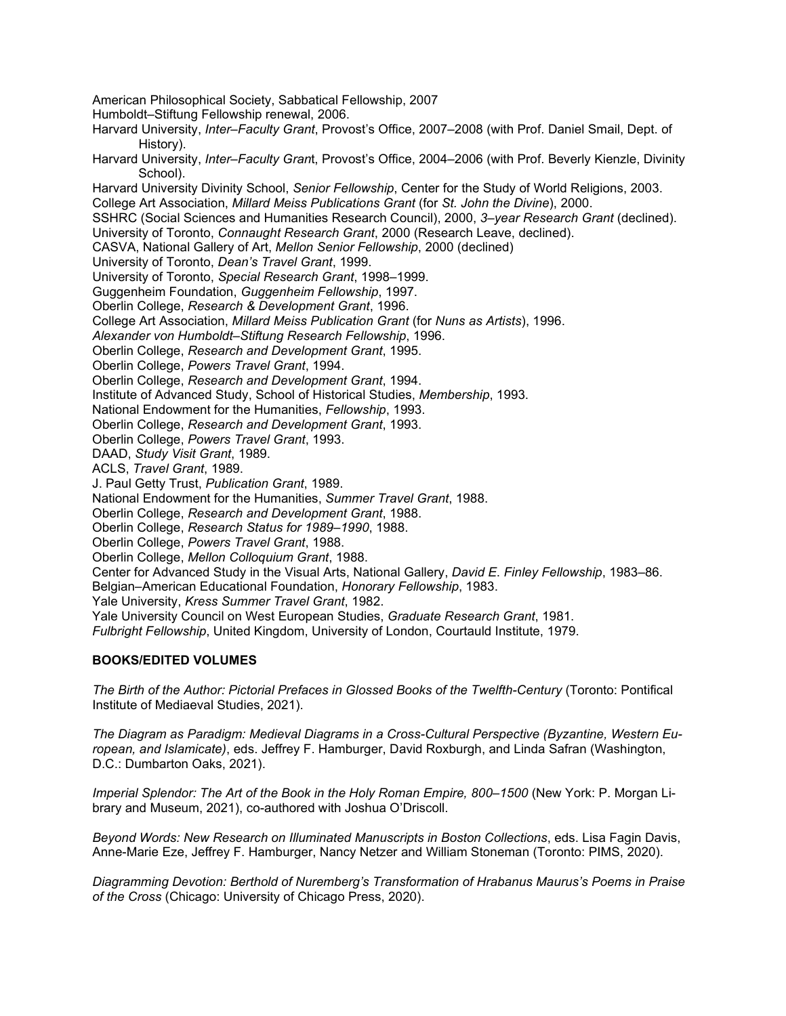American Philosophical Society, Sabbatical Fellowship, 2007

Humboldt–Stiftung Fellowship renewal, 2006.

Harvard University, *Inter–Faculty Grant*, Provost's Office, 2007–2008 (with Prof. Daniel Smail, Dept. of History).

Harvard University, *Inter–Faculty Gran*t, Provost's Office, 2004–2006 (with Prof. Beverly Kienzle, Divinity School).

Harvard University Divinity School, *Senior Fellowship*, Center for the Study of World Religions, 2003.

College Art Association, *Millard Meiss Publications Grant* (for *St. John the Divine*), 2000.

SSHRC (Social Sciences and Humanities Research Council), 2000, *3–year Research Grant* (declined).

University of Toronto, *Connaught Research Grant*, 2000 (Research Leave, declined).

CASVA, National Gallery of Art, *Mellon Senior Fellowship*, 2000 (declined)

University of Toronto, *Dean's Travel Grant*, 1999.

University of Toronto, *Special Research Grant*, 1998–1999.

Guggenheim Foundation, *Guggenheim Fellowship*, 1997.

Oberlin College, *Research & Development Grant*, 1996.

College Art Association, *Millard Meiss Publication Grant* (for *Nuns as Artists*), 1996.

*Alexander von Humboldt–Stiftung Research Fellowship*, 1996.

Oberlin College, *Research and Development Grant*, 1995.

Oberlin College, *Powers Travel Grant*, 1994.

Oberlin College, *Research and Development Grant*, 1994.

Institute of Advanced Study, School of Historical Studies, *Membership*, 1993.

National Endowment for the Humanities, *Fellowship*, 1993.

Oberlin College, *Research and Development Grant*, 1993.

Oberlin College, *Powers Travel Grant*, 1993.

DAAD, *Study Visit Grant*, 1989.

ACLS, *Travel Grant*, 1989.

J. Paul Getty Trust, *Publication Grant*, 1989.

National Endowment for the Humanities, *Summer Travel Grant*, 1988.

Oberlin College, *Research and Development Grant*, 1988.

Oberlin College, *Research Status for 1989–1990*, 1988.

Oberlin College, *Powers Travel Grant*, 1988.

Oberlin College, *Mellon Colloquium Grant*, 1988.

Center for Advanced Study in the Visual Arts, National Gallery, *David E*. *Finley Fellowship*, 1983–86.

Belgian–American Educational Foundation, *Honorary Fellowship*, 1983.

Yale University, *Kress Summer Travel Grant*, 1982.

Yale University Council on West European Studies, *Graduate Research Grant*, 1981.

*Fulbright Fellowship*, United Kingdom, University of London, Courtauld Institute, 1979.

## **BOOKS/EDITED VOLUMES**

*The Birth of the Author: Pictorial Prefaces in Glossed Books of the Twelfth-Century* (Toronto: Pontifical Institute of Mediaeval Studies, 2021).

*The Diagram as Paradigm: Medieval Diagrams in a Cross-Cultural Perspective (Byzantine, Western European, and Islamicate)*, eds. Jeffrey F. Hamburger, David Roxburgh, and Linda Safran (Washington, D.C.: Dumbarton Oaks, 2021).

*Imperial Splendor: The Art of the Book in the Holy Roman Empire, 800–1500* (New York: P. Morgan Library and Museum, 2021), co-authored with Joshua O'Driscoll.

*Beyond Words: New Research on Illuminated Manuscripts in Boston Collections*, eds. Lisa Fagin Davis, Anne-Marie Eze, Jeffrey F. Hamburger, Nancy Netzer and William Stoneman (Toronto: PIMS, 2020).

*Diagramming Devotion: Berthold of Nuremberg's Transformation of Hrabanus Maurus's Poems in Praise of the Cross* (Chicago: University of Chicago Press, 2020).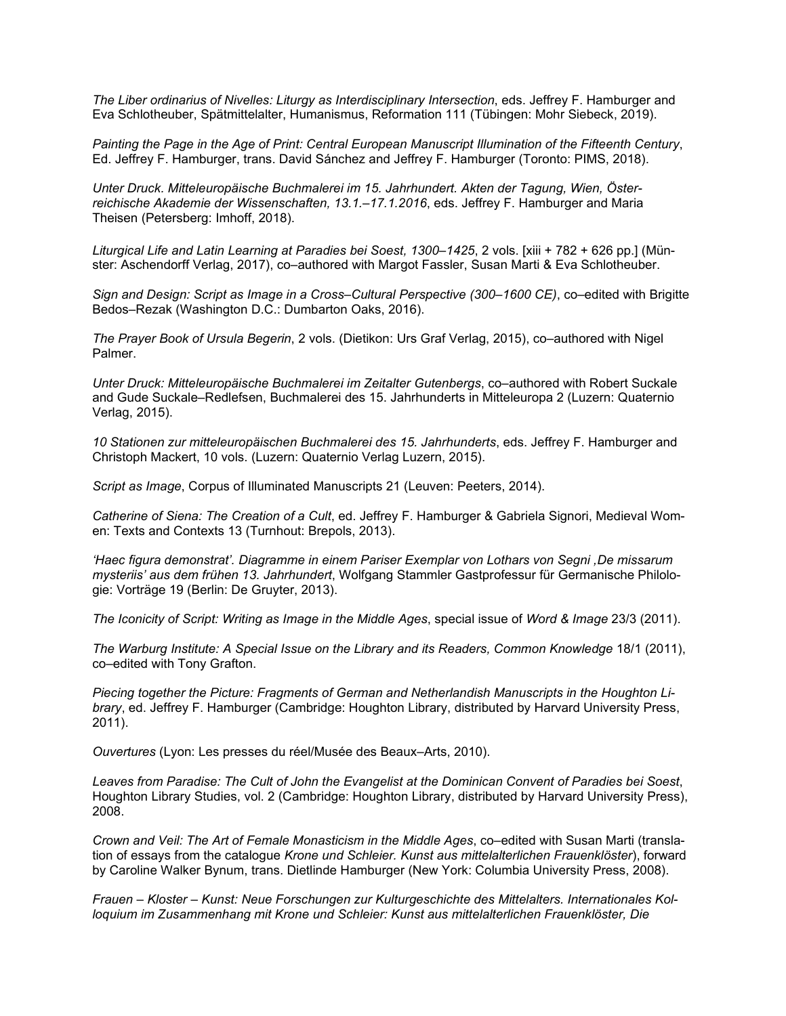*The Liber ordinarius of Nivelles: Liturgy as Interdisciplinary Intersection*, eds. Jeffrey F. Hamburger and Eva Schlotheuber, Spätmittelalter, Humanismus, Reformation 111 (Tübingen: Mohr Siebeck, 2019).

*Painting the Page in the Age of Print: Central European Manuscript Illumination of the Fifteenth Century*, Ed. Jeffrey F. Hamburger, trans. David Sánchez and Jeffrey F. Hamburger (Toronto: PIMS, 2018).

*Unter Druck. Mitteleuropäische Buchmalerei im 15. Jahrhundert. Akten der Tagung, Wien, Österreichische Akademie der Wissenschaften, 13.1.–17.1.2016*, eds. Jeffrey F. Hamburger and Maria Theisen (Petersberg: Imhoff, 2018).

*Liturgical Life and Latin Learning at Paradies bei Soest, 1300–1425*, 2 vols. [xiii + 782 + 626 pp.] (Münster: Aschendorff Verlag, 2017), co–authored with Margot Fassler, Susan Marti & Eva Schlotheuber.

*Sign and Design: Script as Image in a Cross–Cultural Perspective (300–1600 CE)*, co–edited with Brigitte Bedos–Rezak (Washington D.C.: Dumbarton Oaks, 2016).

*The Prayer Book of Ursula Begerin*, 2 vols. (Dietikon: Urs Graf Verlag, 2015), co–authored with Nigel Palmer.

*Unter Druck: Mitteleuropäische Buchmalerei im Zeitalter Gutenbergs*, co–authored with Robert Suckale and Gude Suckale–Redlefsen, Buchmalerei des 15. Jahrhunderts in Mitteleuropa 2 (Luzern: Quaternio Verlag, 2015).

*10 Stationen zur mitteleuropäischen Buchmalerei des 15. Jahrhunderts*, eds. Jeffrey F. Hamburger and Christoph Mackert, 10 vols. (Luzern: Quaternio Verlag Luzern, 2015).

*Script as Image*, Corpus of Illuminated Manuscripts 21 (Leuven: Peeters, 2014).

*Catherine of Siena: The Creation of a Cult*, ed. Jeffrey F. Hamburger & Gabriela Signori, Medieval Women: Texts and Contexts 13 (Turnhout: Brepols, 2013).

*'Haec figura demonstrat'. Diagramme in einem Pariser Exemplar von Lothars von Segni ,De missarum mysteriis' aus dem frühen 13. Jahrhundert*, Wolfgang Stammler Gastprofessur für Germanische Philologie: Vorträge 19 (Berlin: De Gruyter, 2013).

*The Iconicity of Script: Writing as Image in the Middle Ages*, special issue of *Word & Image* 23/3 (2011).

*The Warburg Institute: A Special Issue on the Library and its Readers, Common Knowledge* 18/1 (2011), co–edited with Tony Grafton.

*Piecing together the Picture: Fragments of German and Netherlandish Manuscripts in the Houghton Library*, ed. Jeffrey F. Hamburger (Cambridge: Houghton Library, distributed by Harvard University Press, 2011).

*Ouvertures* (Lyon: Les presses du réel/Musée des Beaux–Arts, 2010).

*Leaves from Paradise: The Cult of John the Evangelist at the Dominican Convent of Paradies bei Soest*, Houghton Library Studies, vol. 2 (Cambridge: Houghton Library, distributed by Harvard University Press), 2008.

*Crown and Veil: The Art of Female Monasticism in the Middle Ages*, co–edited with Susan Marti (translation of essays from the catalogue *Krone und Schleier. Kunst aus mittelalterlichen Frauenklöster*), forward by Caroline Walker Bynum, trans. Dietlinde Hamburger (New York: Columbia University Press, 2008).

*Frauen – Kloster – Kunst: Neue Forschungen zur Kulturgeschichte des Mittelalters. Internationales Kolloquium im Zusammenhang mit Krone und Schleier: Kunst aus mittelalterlichen Frauenklöster, Die*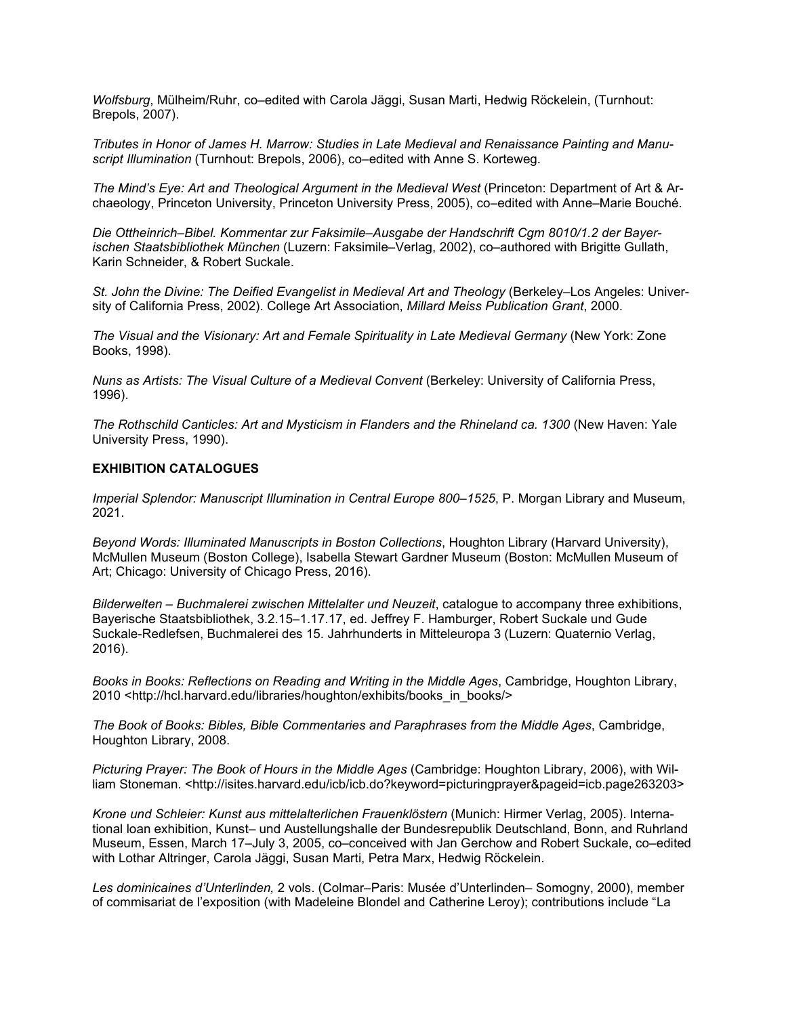*Wolfsburg*, Mülheim/Ruhr, co–edited with Carola Jäggi, Susan Marti, Hedwig Röckelein, (Turnhout: Brepols, 2007).

*Tributes in Honor of James H. Marrow: Studies in Late Medieval and Renaissance Painting and Manuscript Illumination* (Turnhout: Brepols, 2006), co–edited with Anne S. Korteweg.

*The Mind's Eye: Art and Theological Argument in the Medieval West* (Princeton: Department of Art & Archaeology, Princeton University, Princeton University Press, 2005), co–edited with Anne–Marie Bouché.

*Die Ottheinrich–Bibel. Kommentar zur Faksimile–Ausgabe der Handschrift Cgm 8010/1.2 der Bayerischen Staatsbibliothek München* (Luzern: Faksimile–Verlag, 2002), co–authored with Brigitte Gullath, Karin Schneider, & Robert Suckale.

*St. John the Divine: The Deified Evangelist in Medieval Art and Theology* (Berkeley–Los Angeles: University of California Press, 2002). College Art Association, *Millard Meiss Publication Grant*, 2000.

*The Visual and the Visionary: Art and Female Spirituality in Late Medieval Germany* (New York: Zone Books, 1998).

*Nuns as Artists: The Visual Culture of a Medieval Convent* (Berkeley: University of California Press, 1996).

*The Rothschild Canticles: Art and Mysticism in Flanders and the Rhineland ca. 1300* (New Haven: Yale University Press, 1990).

### **EXHIBITION CATALOGUES**

*Imperial Splendor: Manuscript Illumination in Central Europe 800–1525*, P. Morgan Library and Museum, 2021.

*Beyond Words: Illuminated Manuscripts in Boston Collections*, Houghton Library (Harvard University), McMullen Museum (Boston College), Isabella Stewart Gardner Museum (Boston: McMullen Museum of Art; Chicago: University of Chicago Press, 2016).

*Bilderwelten – Buchmalerei zwischen Mittelalter und Neuzeit*, catalogue to accompany three exhibitions, Bayerische Staatsbibliothek, 3.2.15–1.17.17, ed. Jeffrey F. Hamburger, Robert Suckale und Gude Suckale-Redlefsen, Buchmalerei des 15. Jahrhunderts in Mitteleuropa 3 (Luzern: Quaternio Verlag, 2016).

*Books in Books: Reflections on Reading and Writing in the Middle Ages*, Cambridge, Houghton Library, 2010 <http://hcl.harvard.edu/libraries/houghton/exhibits/books\_in\_books/>

*The Book of Books: Bibles, Bible Commentaries and Paraphrases from the Middle Ages*, Cambridge, Houghton Library, 2008.

*Picturing Prayer: The Book of Hours in the Middle Ages* (Cambridge: Houghton Library, 2006), with William Stoneman. <http://isites.harvard.edu/icb/icb.do?keyword=picturingprayer&pageid=icb.page263203>

*Krone und Schleier: Kunst aus mittelalterlichen Frauenklöstern* (Munich: Hirmer Verlag, 2005). International loan exhibition, Kunst– und Austellungshalle der Bundesrepublik Deutschland, Bonn, and Ruhrland Museum, Essen, March 17–July 3, 2005, co–conceived with Jan Gerchow and Robert Suckale, co–edited with Lothar Altringer, Carola Jäggi, Susan Marti, Petra Marx, Hedwig Röckelein.

*Les dominicaines d'Unterlinden,* 2 vols. (Colmar–Paris: Musée d'Unterlinden– Somogny, 2000), member of commisariat de l'exposition (with Madeleine Blondel and Catherine Leroy); contributions include "La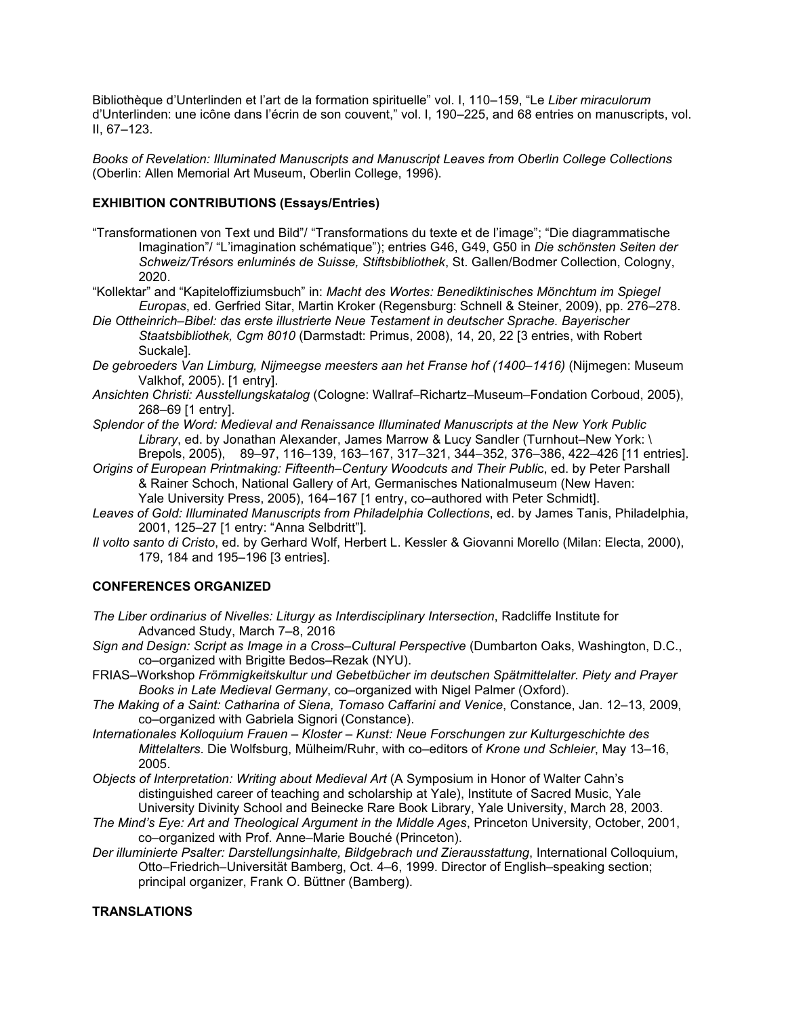Bibliothèque d'Unterlinden et l'art de la formation spirituelle" vol. I, 110–159, "Le *Liber miraculorum* d'Unterlinden: une icône dans l'écrin de son couvent," vol. I, 190–225, and 68 entries on manuscripts, vol. II, 67–123.

*Books of Revelation: Illuminated Manuscripts and Manuscript Leaves from Oberlin College Collections* (Oberlin: Allen Memorial Art Museum, Oberlin College, 1996).

# **EXHIBITION CONTRIBUTIONS (Essays/Entries)**

- "Transformationen von Text und Bild"/ "Transformations du texte et de l'image"; "Die diagrammatische Imagination"/ "L'imagination schématique"); entries G46, G49, G50 in *Die schönsten Seiten der Schweiz/Trésors enluminés de Suisse, Stiftsbibliothek*, St. Gallen/Bodmer Collection, Cologny, 2020.
- "Kollektar" and "Kapiteloffiziumsbuch" in: *Macht des Wortes: Benediktinisches Mönchtum im Spiegel Europas*, ed. Gerfried Sitar, Martin Kroker (Regensburg: Schnell & Steiner, 2009), pp. 276–278.
- *Die Ottheinrich–Bibel: das erste illustrierte Neue Testament in deutscher Sprache. Bayerischer Staatsbibliothek, Cgm 8010* (Darmstadt: Primus, 2008), 14, 20, 22 [3 entries, with Robert Suckale].
- *De gebroeders Van Limburg, Nijmeegse meesters aan het Franse hof (1400–1416)* (Nijmegen: Museum Valkhof, 2005). [1 entry].
- *Ansichten Christi: Ausstellungskatalog* (Cologne: Wallraf–Richartz–Museum–Fondation Corboud, 2005), 268–69 [1 entry].
- *Splendor of the Word: Medieval and Renaissance Illuminated Manuscripts at the New York Public Library*, ed. by Jonathan Alexander, James Marrow & Lucy Sandler (Turnhout–New York: \ Brepols, 2005), 89–97, 116–139, 163–167, 317–321, 344–352, 376–386, 422–426 [11 entries].
- *Origins of European Printmaking: Fifteenth–Century Woodcuts and Their Public, ed. by Peter Parshall* & Rainer Schoch, National Gallery of Art, Germanisches Nationalmuseum (New Haven: Yale University Press, 2005), 164–167 [1 entry, co–authored with Peter Schmidt].
- *Leaves of Gold: Illuminated Manuscripts from Philadelphia Collections*, ed. by James Tanis, Philadelphia, 2001, 125–27 [1 entry: "Anna Selbdritt"].
- *Il volto santo di Cristo*, ed. by Gerhard Wolf, Herbert L. Kessler & Giovanni Morello (Milan: Electa, 2000), 179, 184 and 195–196 [3 entries].

## **CONFERENCES ORGANIZED**

- *The Liber ordinarius of Nivelles: Liturgy as Interdisciplinary Intersection*, Radcliffe Institute for Advanced Study, March 7–8, 2016
- *Sign and Design: Script as Image in a Cross–Cultural Perspective* (Dumbarton Oaks, Washington, D.C., co–organized with Brigitte Bedos–Rezak (NYU).
- FRIAS–Workshop *Frömmigkeitskultur und Gebetbücher im deutschen Spätmittelalter. Piety and Prayer Books in Late Medieval Germany*, co–organized with Nigel Palmer (Oxford).
- *The Making of a Saint: Catharina of Siena, Tomaso Caffarini and Venice*, Constance, Jan. 12–13, 2009, co–organized with Gabriela Signori (Constance).
- *Internationales Kolloquium Frauen – Kloster – Kunst: Neue Forschungen zur Kulturgeschichte des Mittelalters*. Die Wolfsburg, Mülheim/Ruhr, with co–editors of *Krone und Schleier*, May 13–16, 2005.
- *Objects of Interpretation: Writing about Medieval Art* (A Symposium in Honor of Walter Cahn's distinguished career of teaching and scholarship at Yale), Institute of Sacred Music, Yale University Divinity School and Beinecke Rare Book Library, Yale University, March 28, 2003.
- *The Mind's Eye: Art and Theological Argument in the Middle Ages*, Princeton University, October, 2001, co–organized with Prof. Anne–Marie Bouché (Princeton).
- *Der illuminierte Psalter: Darstellungsinhalte, Bildgebrach und Zierausstattung*, International Colloquium, Otto–Friedrich–Universität Bamberg, Oct. 4–6, 1999. Director of English–speaking section; principal organizer, Frank O. Büttner (Bamberg).

# **TRANSLATIONS**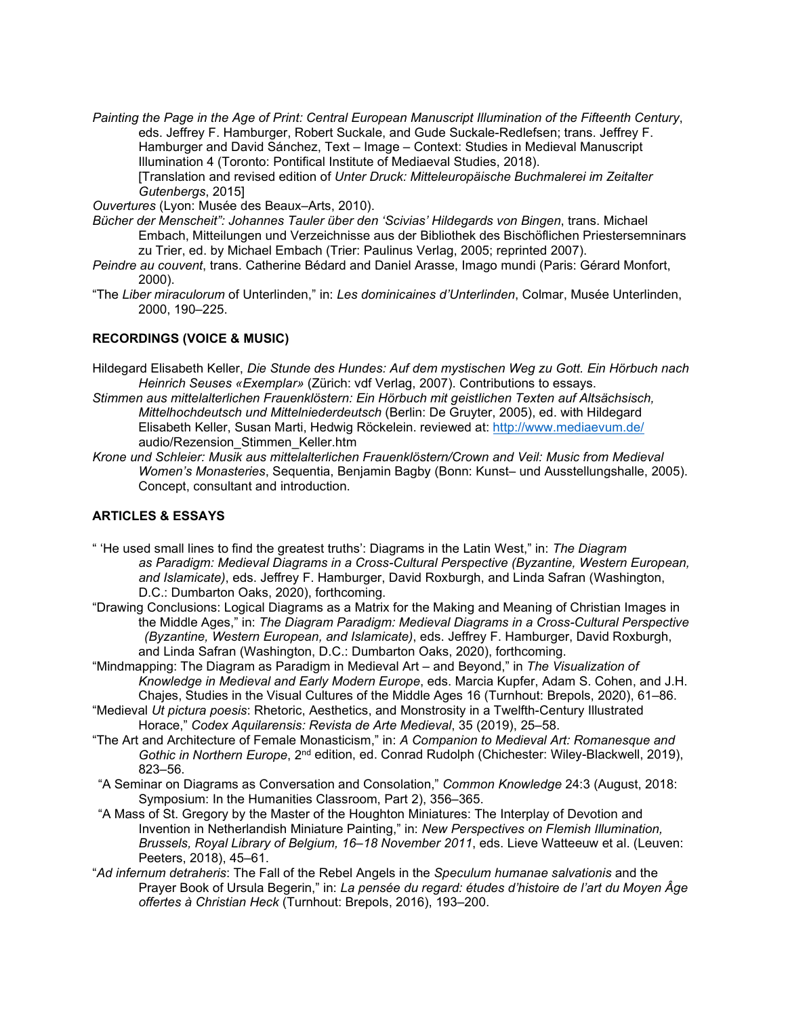*Painting the Page in the Age of Print: Central European Manuscript Illumination of the Fifteenth Century*, eds. Jeffrey F. Hamburger, Robert Suckale, and Gude Suckale-Redlefsen; trans. Jeffrey F. Hamburger and David Sánchez, Text – Image – Context: Studies in Medieval Manuscript Illumination 4 (Toronto: Pontifical Institute of Mediaeval Studies, 2018). [Translation and revised edition of *Unter Druck: Mitteleuropäische Buchmalerei im Zeitalter Gutenbergs*, 2015]

*Ouvertures* (Lyon: Musée des Beaux–Arts, 2010).

- *Bücher der Menscheit": Johannes Tauler über den 'Scivias' Hildegards von Bingen*, trans. Michael Embach, Mitteilungen und Verzeichnisse aus der Bibliothek des Bischöflichen Priestersemninars zu Trier, ed. by Michael Embach (Trier: Paulinus Verlag, 2005; reprinted 2007).
- *Peindre au couvent*, trans. Catherine Bédard and Daniel Arasse, Imago mundi (Paris: Gérard Monfort, 2000).
- "The *Liber miraculorum* of Unterlinden," in: *Les dominicaines d'Unterlinden*, Colmar, Musée Unterlinden, 2000, 190–225.

## **RECORDINGS (VOICE & MUSIC)**

- Hildegard Elisabeth Keller, *Die Stunde des Hundes: Auf dem mystischen Weg zu Gott. Ein Hörbuch nach Heinrich Seuses «Exemplar»* (Zürich: vdf Verlag, 2007). Contributions to essays.
- *Stimmen aus mittelalterlichen Frauenklöstern: Ein Hörbuch mit geistlichen Texten auf Altsächsisch, Mittelhochdeutsch und Mittelniederdeutsch* (Berlin: De Gruyter, 2005), ed. with Hildegard Elisabeth Keller, Susan Marti, Hedwig Röckelein. reviewed at:<http://www.mediaevum.de/> audio/Rezension\_Stimmen\_Keller.htm
- *Krone und Schleier: Musik aus mittelalterlichen Frauenklöstern/Crown and Veil: Music from Medieval Women's Monasteries*, Sequentia, Benjamin Bagby (Bonn: Kunst– und Ausstellungshalle, 2005). Concept, consultant and introduction.

# **ARTICLES & ESSAYS**

- " 'He used small lines to find the greatest truths': Diagrams in the Latin West," in: *The Diagram as Paradigm: Medieval Diagrams in a Cross-Cultural Perspective (Byzantine, Western European, and Islamicate)*, eds. Jeffrey F. Hamburger, David Roxburgh, and Linda Safran (Washington, D.C.: Dumbarton Oaks, 2020), forthcoming.
- "Drawing Conclusions: Logical Diagrams as a Matrix for the Making and Meaning of Christian Images in the Middle Ages," in: *The Diagram Paradigm: Medieval Diagrams in a Cross-Cultural Perspective (Byzantine, Western European, and Islamicate)*, eds. Jeffrey F. Hamburger, David Roxburgh, and Linda Safran (Washington, D.C.: Dumbarton Oaks, 2020), forthcoming.
- "Mindmapping: The Diagram as Paradigm in Medieval Art and Beyond," in *The Visualization of Knowledge in Medieval and Early Modern Europe*, eds. Marcia Kupfer, Adam S. Cohen, and J.H. Chajes, Studies in the Visual Cultures of the Middle Ages 16 (Turnhout: Brepols, 2020), 61–86.
- "Medieval *Ut pictura poesis*: Rhetoric, Aesthetics, and Monstrosity in a Twelfth-Century Illustrated Horace," *Codex Aquilarensis: Revista de Arte Medieval*, 35 (2019), 25–58.
- "The Art and Architecture of Female Monasticism," in: *A Companion to Medieval Art: Romanesque and Gothic in Northern Europe*, 2nd edition, ed. Conrad Rudolph (Chichester: Wiley-Blackwell, 2019), 823–56.
- "A Seminar on Diagrams as Conversation and Consolation," *Common Knowledge* 24:3 (August, 2018: Symposium: In the Humanities Classroom, Part 2), 356–365.
- "A Mass of St. Gregory by the Master of the Houghton Miniatures: The Interplay of Devotion and Invention in Netherlandish Miniature Painting," in: *New Perspectives on Flemish Illumination, Brussels, Royal Library of Belgium, 16–18 November 2011*, eds. Lieve Watteeuw et al. (Leuven: Peeters, 2018), 45–61.
- "*Ad infernum detraheris*: The Fall of the Rebel Angels in the *Speculum humanae salvationis* and the Prayer Book of Ursula Begerin," in: *La pensée du regard: études d'histoire de l'art du Moyen Âge offertes à Christian Heck* (Turnhout: Brepols, 2016), 193–200.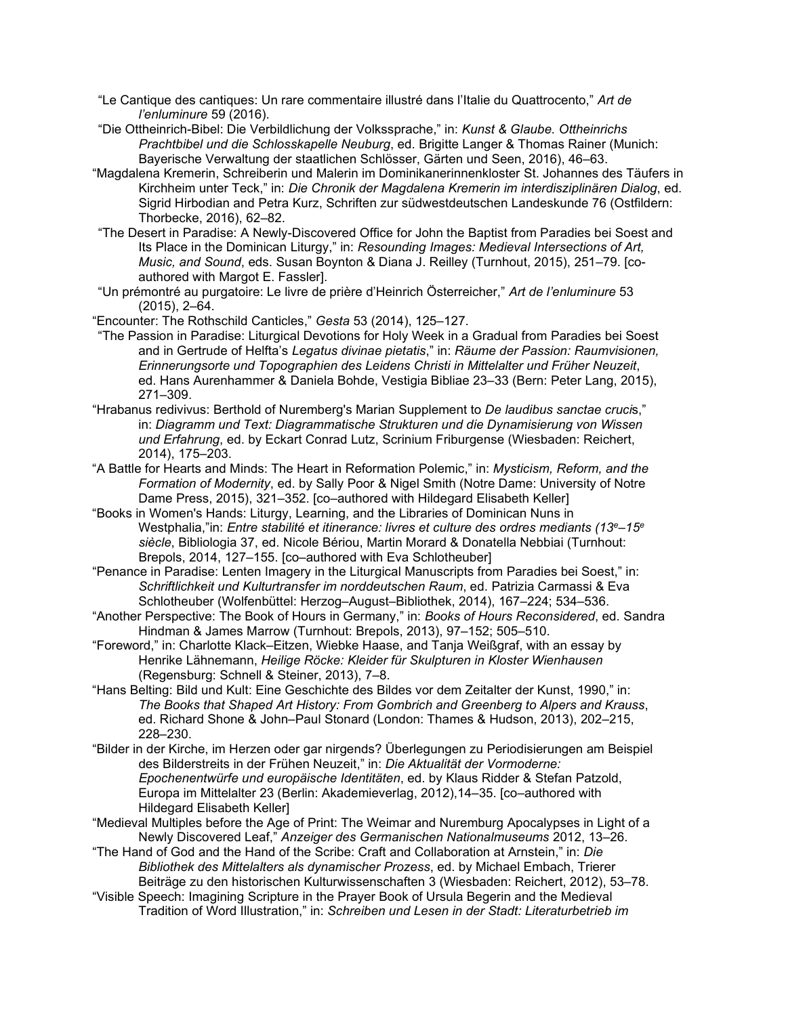- "Le Cantique des cantiques: Un rare commentaire illustré dans l'Italie du Quattrocento," *Art de l'enluminure* 59 (2016).
- "Die Ottheinrich-Bibel: Die Verbildlichung der Volkssprache," in: *Kunst & Glaube. Ottheinrichs Prachtbibel und die Schlosskapelle Neuburg*, ed. Brigitte Langer & Thomas Rainer (Munich: Bayerische Verwaltung der staatlichen Schlösser, Gärten und Seen, 2016), 46–63.
- "Magdalena Kremerin, Schreiberin und Malerin im Dominikanerinnenkloster St. Johannes des Täufers in Kirchheim unter Teck," in: *Die Chronik der Magdalena Kremerin im interdisziplinären Dialog*, ed. Sigrid Hirbodian and Petra Kurz, Schriften zur südwestdeutschen Landeskunde 76 (Ostfildern: Thorbecke, 2016), 62–82.
- "The Desert in Paradise: A Newly-Discovered Office for John the Baptist from Paradies bei Soest and Its Place in the Dominican Liturgy," in: *Resounding Images: Medieval Intersections of Art, Music, and Sound*, eds. Susan Boynton & Diana J. Reilley (Turnhout, 2015), 251–79. [coauthored with Margot E. Fassler].
- "Un prémontré au purgatoire: Le livre de prière d'Heinrich Österreicher," *Art de l'enluminure* 53 (2015), 2–64.
- "Encounter: The Rothschild Canticles," *Gesta* 53 (2014), 125–127.
- "The Passion in Paradise: Liturgical Devotions for Holy Week in a Gradual from Paradies bei Soest and in Gertrude of Helfta's *Legatus divinae pietatis*," in: *Räume der Passion: Raumvisionen, Erinnerungsorte und Topographien des Leidens Christi in Mittelalter und Früher Neuzeit*, ed. Hans Aurenhammer & Daniela Bohde, Vestigia Bibliae 23–33 (Bern: Peter Lang, 2015), 271–309.
- "Hrabanus redivivus: Berthold of Nuremberg's Marian Supplement to *De laudibus sanctae cruci*s," in: *Diagramm und Text: Diagrammatische Strukturen und die Dynamisierung von Wissen und Erfahrung*, ed. by Eckart Conrad Lutz, Scrinium Friburgense (Wiesbaden: Reichert, 2014), 175–203.
- "A Battle for Hearts and Minds: The Heart in Reformation Polemic," in: *Mysticism, Reform, and the Formation of Modernity*, ed. by Sally Poor & Nigel Smith (Notre Dame: University of Notre Dame Press, 2015), 321–352. [co–authored with Hildegard Elisabeth Keller]
- "Books in Women's Hands: Liturgy, Learning, and the Libraries of Dominican Nuns in Westphalia,"in: *Entre stabilité et itinerance: livres et culture des ordres mediants (13e–15e siècle*, Bibliologia 37, ed. Nicole Bériou, Martin Morard & Donatella Nebbiai (Turnhout: Brepols, 2014, 127–155. [co–authored with Eva Schlotheuber]
- "Penance in Paradise: Lenten Imagery in the Liturgical Manuscripts from Paradies bei Soest," in: *Schriftlichkeit und Kulturtransfer im norddeutschen Raum*, ed. Patrizia Carmassi & Eva Schlotheuber (Wolfenbüttel: Herzog–August–Bibliothek, 2014), 167–224; 534–536.
- "Another Perspective: The Book of Hours in Germany," in: *Books of Hours Reconsidered*, ed. Sandra Hindman & James Marrow (Turnhout: Brepols, 2013), 97–152; 505–510.
- "Foreword," in: Charlotte Klack–Eitzen, Wiebke Haase, and Tanja Weißgraf, with an essay by Henrike Lähnemann, *Heilige Röcke: Kleider für Skulpturen in Kloster Wienhausen* (Regensburg: Schnell & Steiner, 2013), 7–8.
- "Hans Belting: Bild und Kult: Eine Geschichte des Bildes vor dem Zeitalter der Kunst, 1990," in: *The Books that Shaped Art History: From Gombrich and Greenberg to Alpers and Krauss*, ed. Richard Shone & John–Paul Stonard (London: Thames & Hudson, 2013), 202–215, 228–230.
- "Bilder in der Kirche, im Herzen oder gar nirgends? Überlegungen zu Periodisierungen am Beispiel des Bilderstreits in der Frühen Neuzeit," in: *Die Aktualität der Vormoderne: Epochenentwürfe und europäische Identitäten*, ed. by Klaus Ridder & Stefan Patzold, Europa im Mittelalter 23 (Berlin: Akademieverlag, 2012),14–35. [co–authored with Hildegard Elisabeth Keller]
- "Medieval Multiples before the Age of Print: The Weimar and Nuremburg Apocalypses in Light of a Newly Discovered Leaf," *Anzeiger des Germanischen Nationalmuseums* 2012, 13–26.
- "The Hand of God and the Hand of the Scribe: Craft and Collaboration at Arnstein," in: *Die Bibliothek des Mittelalters als dynamischer Prozess*, ed. by Michael Embach, Trierer Beiträge zu den historischen Kulturwissenschaften 3 (Wiesbaden: Reichert, 2012), 53–78.
- "Visible Speech: Imagining Scripture in the Prayer Book of Ursula Begerin and the Medieval Tradition of Word Illustration," in: *Schreiben und Lesen in der Stadt: Literaturbetrieb im*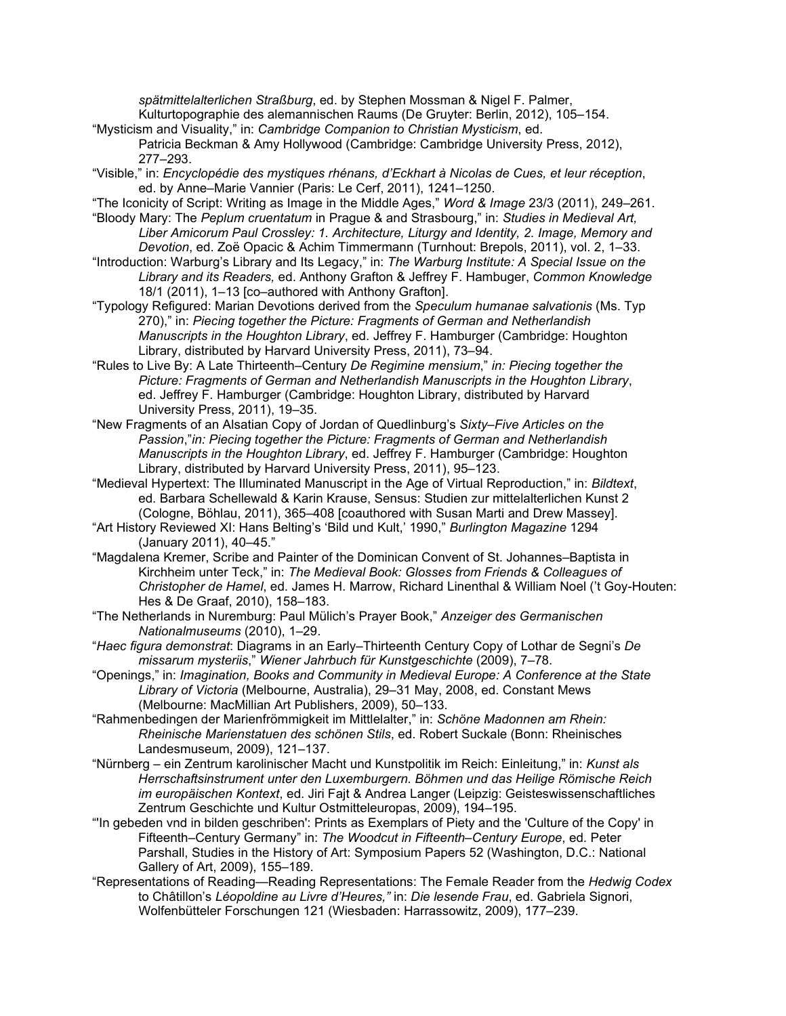*spätmittelalterlichen Straßburg*, ed. by Stephen Mossman & Nigel F. Palmer,

Kulturtopographie des alemannischen Raums (De Gruyter: Berlin, 2012), 105–154.

- "Mysticism and Visuality," in: *Cambridge Companion to Christian Mysticism*, ed. Patricia Beckman & Amy Hollywood (Cambridge: Cambridge University Press, 2012), 277–293.
- "Visible," in: *Encyclopédie des mystiques rhénans, d'Eckhart à Nicolas de Cues, et leur réception*, ed. by Anne–Marie Vannier (Paris: Le Cerf, 2011), 1241–1250.
- "The Iconicity of Script: Writing as Image in the Middle Ages," *Word & Image* 23/3 (2011), 249–261. "Bloody Mary: The *Peplum cruentatum* in Prague & and Strasbourg," in: *Studies in Medieval Art,*
- *Liber Amicorum Paul Crossley: 1. Architecture, Liturgy and Identity, 2. Image, Memory and Devotion*, ed. Zoë Opacic & Achim Timmermann (Turnhout: Brepols, 2011), vol. 2, 1–33.
- "Introduction: Warburg's Library and Its Legacy," in: *The Warburg Institute: A Special Issue on the Library and its Readers,* ed. Anthony Grafton & Jeffrey F. Hambuger, *Common Knowledge* 18/1 (2011), 1–13 [co–authored with Anthony Grafton].
- "Typology Refigured: Marian Devotions derived from the *Speculum humanae salvationis* (Ms. Typ 270)," in: *Piecing together the Picture: Fragments of German and Netherlandish Manuscripts in the Houghton Library*, ed. Jeffrey F. Hamburger (Cambridge: Houghton Library, distributed by Harvard University Press, 2011), 73–94.
- "Rules to Live By: A Late Thirteenth–Century *De Regimine mensium*," *in: Piecing together the Picture: Fragments of German and Netherlandish Manuscripts in the Houghton Library*, ed. Jeffrey F. Hamburger (Cambridge: Houghton Library, distributed by Harvard University Press, 2011), 19–35.
- "New Fragments of an Alsatian Copy of Jordan of Quedlinburg's *Sixty–Five Articles on the Passion*,"*in: Piecing together the Picture: Fragments of German and Netherlandish Manuscripts in the Houghton Library*, ed. Jeffrey F. Hamburger (Cambridge: Houghton Library, distributed by Harvard University Press, 2011), 95–123.
- "Medieval Hypertext: The Illuminated Manuscript in the Age of Virtual Reproduction," in: *Bildtext*, ed. Barbara Schellewald & Karin Krause, Sensus: Studien zur mittelalterlichen Kunst 2 (Cologne, Böhlau, 2011), 365–408 [coauthored with Susan Marti and Drew Massey].
- "Art History Reviewed XI: Hans Belting's 'Bild und Kult,' 1990," *Burlington Magazine* 1294 (January 2011), 40–45."
- "Magdalena Kremer, Scribe and Painter of the Dominican Convent of St. Johannes–Baptista in Kirchheim unter Teck," in: *The Medieval Book: Glosses from Friends & Colleagues of Christopher de Hamel*, ed. James H. Marrow, Richard Linenthal & William Noel ('t Goy-Houten: Hes & De Graaf, 2010), 158–183.
- "The Netherlands in Nuremburg: Paul Mülich's Prayer Book," *Anzeiger des Germanischen Nationalmuseums* (2010), 1–29.
- "*Haec figura demonstrat*: Diagrams in an Early–Thirteenth Century Copy of Lothar de Segni's *De missarum mysteriis*," *Wiener Jahrbuch für Kunstgeschichte* (2009), 7–78.
- "Openings," in: *Imagination, Books and Community in Medieval Europe: A Conference at the State Library of Victoria* (Melbourne, Australia), 29–31 May, 2008, ed. Constant Mews (Melbourne: MacMillian Art Publishers, 2009), 50–133.
- "Rahmenbedingen der Marienfrömmigkeit im Mittlelalter," in: *Schöne Madonnen am Rhein: Rheinische Marienstatuen des schönen Stils*, ed. Robert Suckale (Bonn: Rheinisches Landesmuseum, 2009), 121–137.
- "Nürnberg ein Zentrum karolinischer Macht und Kunstpolitik im Reich: Einleitung," in: *Kunst als Herrschaftsinstrument unter den Luxemburgern. Böhmen und das Heilige Römische Reich im europäischen Kontext*, ed. Jiri Fajt & Andrea Langer (Leipzig: Geisteswissenschaftliches Zentrum Geschichte und Kultur Ostmitteleuropas, 2009), 194–195.
- "'In gebeden vnd in bilden geschriben': Prints as Exemplars of Piety and the 'Culture of the Copy' in Fifteenth–Century Germany" in: *The Woodcut in Fifteenth–Century Europe*, ed. Peter Parshall, Studies in the History of Art: Symposium Papers 52 (Washington, D.C.: National Gallery of Art, 2009), 155–189.
- "Representations of Reading—Reading Representations: The Female Reader from the *Hedwig Codex* to Châtillon's *Léopoldine au Livre d'Heures,"* in: *Die lesende Frau*, ed. Gabriela Signori, Wolfenbütteler Forschungen 121 (Wiesbaden: Harrassowitz, 2009), 177–239.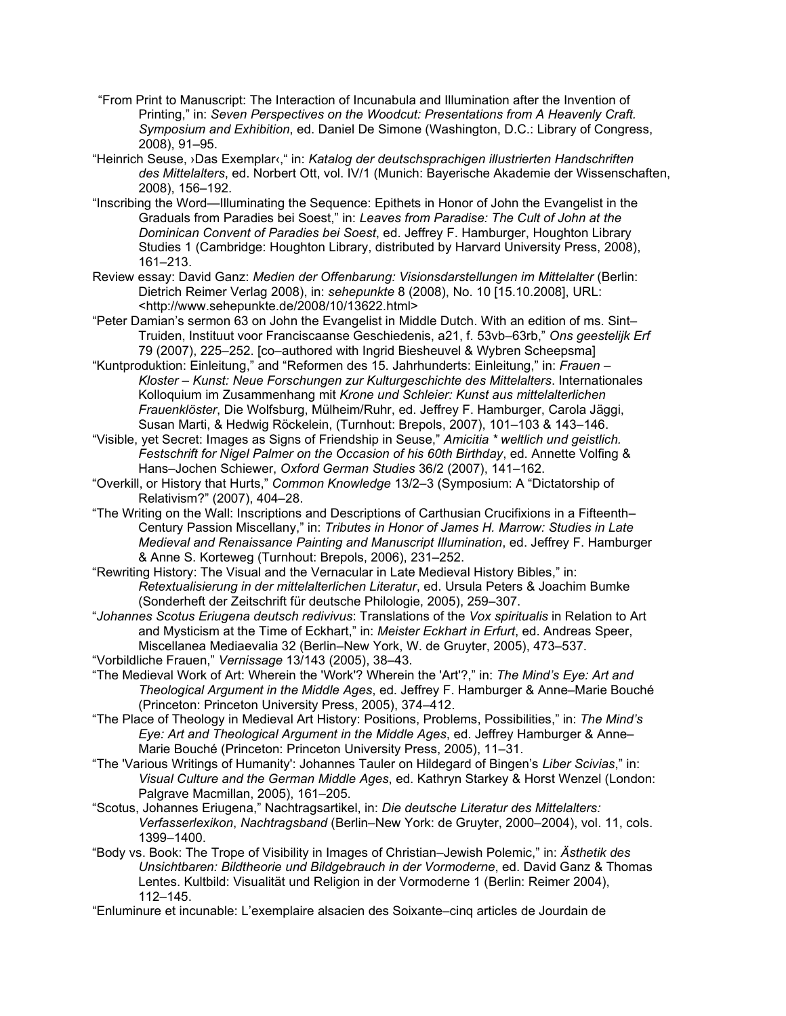- "From Print to Manuscript: The Interaction of Incunabula and Illumination after the Invention of Printing," in: *Seven Perspectives on the Woodcut: Presentations from A Heavenly Craft. Symposium and Exhibition*, ed. Daniel De Simone (Washington, D.C.: Library of Congress, 2008), 91–95.
- "Heinrich Seuse, ›Das Exemplar‹," in: *Katalog der deutschsprachigen illustrierten Handschriften des Mittelalters*, ed. Norbert Ott, vol. IV/1 (Munich: Bayerische Akademie der Wissenschaften, 2008), 156–192.
- "Inscribing the Word—Illuminating the Sequence: Epithets in Honor of John the Evangelist in the Graduals from Paradies bei Soest," in: *Leaves from Paradise: The Cult of John at the Dominican Convent of Paradies bei Soest*, ed. Jeffrey F. Hamburger, Houghton Library Studies 1 (Cambridge: Houghton Library, distributed by Harvard University Press, 2008), 161–213.
- Review essay: David Ganz: *Medien der Offenbarung: Visionsdarstellungen im Mittelalter* (Berlin: Dietrich Reimer Verlag 2008), in: *sehepunkte* 8 (2008), No. 10 [15.10.2008], URL: <http://www.sehepunkte.de/2008/10/13622.html>
- "Peter Damian's sermon 63 on John the Evangelist in Middle Dutch. With an edition of ms. Sint– Truiden, Instituut voor Franciscaanse Geschiedenis, a21, f. 53vb–63rb," *Ons geestelijk Erf* 79 (2007), 225–252. [co–authored with Ingrid Biesheuvel & Wybren Scheepsma]
- "Kuntproduktion: Einleitung," and "Reformen des 15. Jahrhunderts: Einleitung," in: *Frauen – Kloster – Kunst: Neue Forschungen zur Kulturgeschichte des Mittelalters*. Internationales Kolloquium im Zusammenhang mit *Krone und Schleier: Kunst aus mittelalterlichen Frauenklöster*, Die Wolfsburg, Mülheim/Ruhr, ed. Jeffrey F. Hamburger, Carola Jäggi, Susan Marti, & Hedwig Röckelein, (Turnhout: Brepols, 2007), 101–103 & 143–146.
- "Visible, yet Secret: Images as Signs of Friendship in Seuse," *Amicitia \* weltlich und geistlich. Festschrift for Nigel Palmer on the Occasion of his 60th Birthday*, ed. Annette Volfing & Hans–Jochen Schiewer, *Oxford German Studies* 36/2 (2007), 141–162.
- "Overkill, or History that Hurts," *Common Knowledge* 13/2–3 (Symposium: A "Dictatorship of Relativism?" (2007), 404–28.
- "The Writing on the Wall: Inscriptions and Descriptions of Carthusian Crucifixions in a Fifteenth– Century Passion Miscellany," in: *Tributes in Honor of James H. Marrow: Studies in Late Medieval and Renaissance Painting and Manuscript Illumination*, ed. Jeffrey F. Hamburger & Anne S. Korteweg (Turnhout: Brepols, 2006), 231–252.
- "Rewriting History: The Visual and the Vernacular in Late Medieval History Bibles," in: *Retextualisierung in der mittelalterlichen Literatur*, ed. Ursula Peters & Joachim Bumke (Sonderheft der Zeitschrift für deutsche Philologie, 2005), 259–307.
- "*Johannes Scotus Eriugena deutsch redivivus*: Translations of the *Vox spiritualis* in Relation to Art and Mysticism at the Time of Eckhart," in: *Meister Eckhart in Erfurt*, ed. Andreas Speer, Miscellanea Mediaevalia 32 (Berlin–New York, W. de Gruyter, 2005), 473–537.
- "Vorbildliche Frauen," *Vernissage* 13/143 (2005), 38–43.
- "The Medieval Work of Art: Wherein the 'Work'? Wherein the 'Art'?," in: *The Mind's Eye: Art and Theological Argument in the Middle Ages*, ed. Jeffrey F. Hamburger & Anne–Marie Bouché (Princeton: Princeton University Press, 2005), 374–412.
- "The Place of Theology in Medieval Art History: Positions, Problems, Possibilities," in: *The Mind's Eye: Art and Theological Argument in the Middle Ages*, ed. Jeffrey Hamburger & Anne– Marie Bouché (Princeton: Princeton University Press, 2005), 11–31.
- "The 'Various Writings of Humanity': Johannes Tauler on Hildegard of Bingen's *Liber Scivias*," in: *Visual Culture and the German Middle Ages*, ed. Kathryn Starkey & Horst Wenzel (London: Palgrave Macmillan, 2005), 161–205.
- "Scotus, Johannes Eriugena," Nachtragsartikel, in: *Die deutsche Literatur des Mittelalters: Verfasserlexikon*, *Nachtragsband* (Berlin–New York: de Gruyter, 2000–2004), vol. 11, cols. 1399–1400.
- "Body vs. Book: The Trope of Visibility in Images of Christian–Jewish Polemic," in: *Ästhetik des Unsichtbaren: Bildtheorie und Bildgebrauch in der Vormoderne*, ed. David Ganz & Thomas Lentes. Kultbild: Visualität und Religion in der Vormoderne 1 (Berlin: Reimer 2004), 112–145.
- "Enluminure et incunable: L'exemplaire alsacien des Soixante–cinq articles de Jourdain de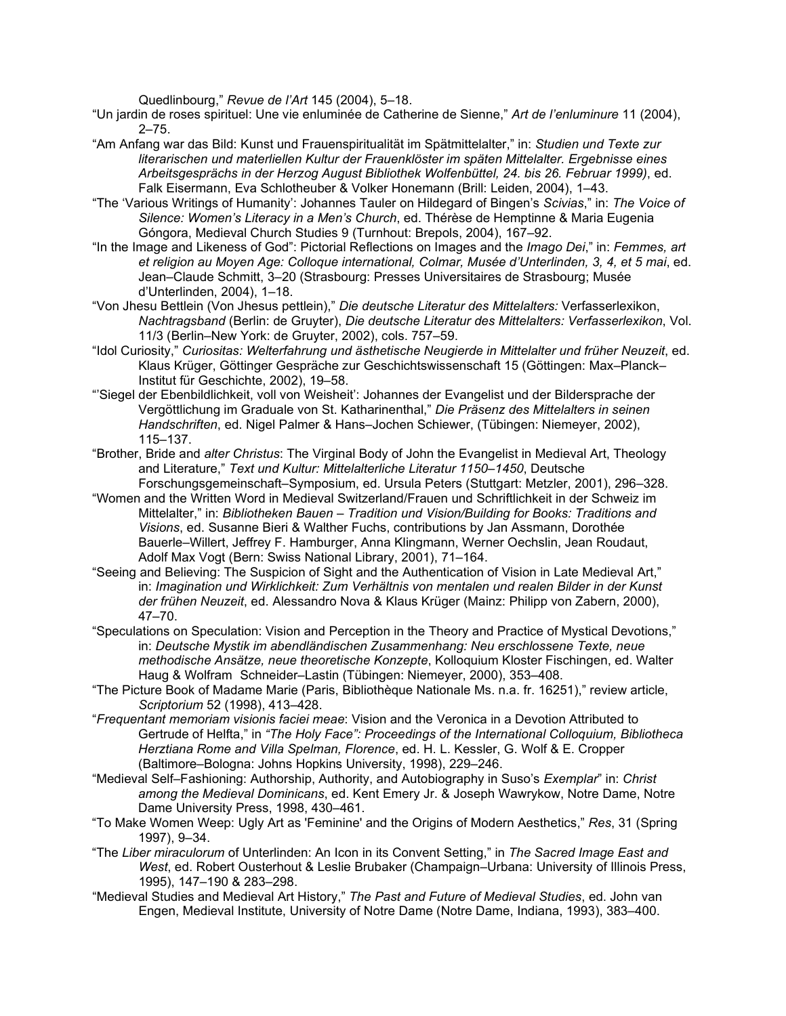Quedlinbourg," *Revue de l'Art* 145 (2004), 5–18.

- "Un jardin de roses spirituel: Une vie enluminée de Catherine de Sienne," *Art de l'enluminure* 11 (2004), 2–75.
- "Am Anfang war das Bild: Kunst und Frauenspiritualität im Spätmittelalter," in: *Studien und Texte zur literarischen und materliellen Kultur der Frauenklöster im späten Mittelalter. Ergebnisse eines Arbeitsgesprächs in der Herzog August Bibliothek Wolfenbüttel, 24. bis 26. Februar 1999)*, ed. Falk Eisermann, Eva Schlotheuber & Volker Honemann (Brill: Leiden, 2004), 1–43.
- "The 'Various Writings of Humanity': Johannes Tauler on Hildegard of Bingen's *Scivias*," in: *The Voice of Silence: Women's Literacy in a Men's Church*, ed. Thérèse de Hemptinne & Maria Eugenia Góngora, Medieval Church Studies 9 (Turnhout: Brepols, 2004), 167–92.
- "In the Image and Likeness of God": Pictorial Reflections on Images and the *Imago Dei*," in: *Femmes, art et religion au Moyen Age: Colloque international, Colmar, Musée d'Unterlinden, 3, 4, et 5 mai*, ed. Jean–Claude Schmitt, 3–20 (Strasbourg: Presses Universitaires de Strasbourg; Musée d'Unterlinden, 2004), 1–18.
- "Von Jhesu Bettlein (Von Jhesus pettlein)," *Die deutsche Literatur des Mittelalters:* Verfasserlexikon, *Nachtragsband* (Berlin: de Gruyter), *Die deutsche Literatur des Mittelalters: Verfasserlexikon*, Vol. 11/3 (Berlin–New York: de Gruyter, 2002), cols. 757–59.
- "Idol Curiosity," *Curiositas: Welterfahrung und ästhetische Neugierde in Mittelalter und früher Neuzeit*, ed. Klaus Krüger, Göttinger Gespräche zur Geschichtswissenschaft 15 (Göttingen: Max–Planck– Institut für Geschichte, 2002), 19–58.
- "'Siegel der Ebenbildlichkeit, voll von Weisheit': Johannes der Evangelist und der Bildersprache der Vergöttlichung im Graduale von St. Katharinenthal," *Die Präsenz des Mittelalters in seinen Handschriften*, ed. Nigel Palmer & Hans–Jochen Schiewer, (Tübingen: Niemeyer, 2002), 115–137.
- "Brother, Bride and *alter Christus*: The Virginal Body of John the Evangelist in Medieval Art, Theology and Literature," *Text und Kultur: Mittelalterliche Literatur 1150–1450*, Deutsche Forschungsgemeinschaft–Symposium, ed. Ursula Peters (Stuttgart: Metzler, 2001), 296–328.
- "Women and the Written Word in Medieval Switzerland/Frauen und Schriftlichkeit in der Schweiz im Mittelalter," in: *Bibliotheken Bauen – Tradition und Vision/Building for Books: Traditions and Visions*, ed. Susanne Bieri & Walther Fuchs, contributions by Jan Assmann, Dorothée Bauerle–Willert, Jeffrey F. Hamburger, Anna Klingmann, Werner Oechslin, Jean Roudaut, Adolf Max Vogt (Bern: Swiss National Library, 2001), 71–164.
- "Seeing and Believing: The Suspicion of Sight and the Authentication of Vision in Late Medieval Art," in: *Imagination und Wirklichkeit: Zum Verhältnis von mentalen und realen Bilder in der Kunst der frühen Neuzeit*, ed. Alessandro Nova & Klaus Krüger (Mainz: Philipp von Zabern, 2000), 47–70.
- "Speculations on Speculation: Vision and Perception in the Theory and Practice of Mystical Devotions," in: *Deutsche Mystik im abendländischen Zusammenhang: Neu erschlossene Texte, neue methodische Ansätze, neue theoretische Konzepte*, Kolloquium Kloster Fischingen, ed. Walter Haug & Wolfram Schneider–Lastin (Tübingen: Niemeyer, 2000), 353–408.
- "The Picture Book of Madame Marie (Paris, Bibliothèque Nationale Ms. n.a. fr. 16251)," review article, *Scriptorium* 52 (1998), 413–428.
- "*Frequentant memoriam visionis faciei meae*: Vision and the Veronica in a Devotion Attributed to Gertrude of Helfta," in *"The Holy Face": Proceedings of the International Colloquium, Bibliotheca Herztiana Rome and Villa Spelman, Florence*, ed. H. L. Kessler, G. Wolf & E. Cropper (Baltimore–Bologna: Johns Hopkins University, 1998), 229–246.
- "Medieval Self–Fashioning: Authorship, Authority, and Autobiography in Suso's *Exemplar*" in: *Christ among the Medieval Dominicans*, ed. Kent Emery Jr. & Joseph Wawrykow, Notre Dame, Notre Dame University Press, 1998, 430–461.
- "To Make Women Weep: Ugly Art as 'Feminine' and the Origins of Modern Aesthetics," *Res*, 31 (Spring 1997), 9–34.
- "The *Liber miraculorum* of Unterlinden: An Icon in its Convent Setting," in *The Sacred Image East and West*, ed. Robert Ousterhout & Leslie Brubaker (Champaign–Urbana: University of Illinois Press, 1995), 147–190 & 283–298.
- "Medieval Studies and Medieval Art History," *The Past and Future of Medieval Studies*, ed. John van Engen, Medieval Institute, University of Notre Dame (Notre Dame, Indiana, 1993), 383–400.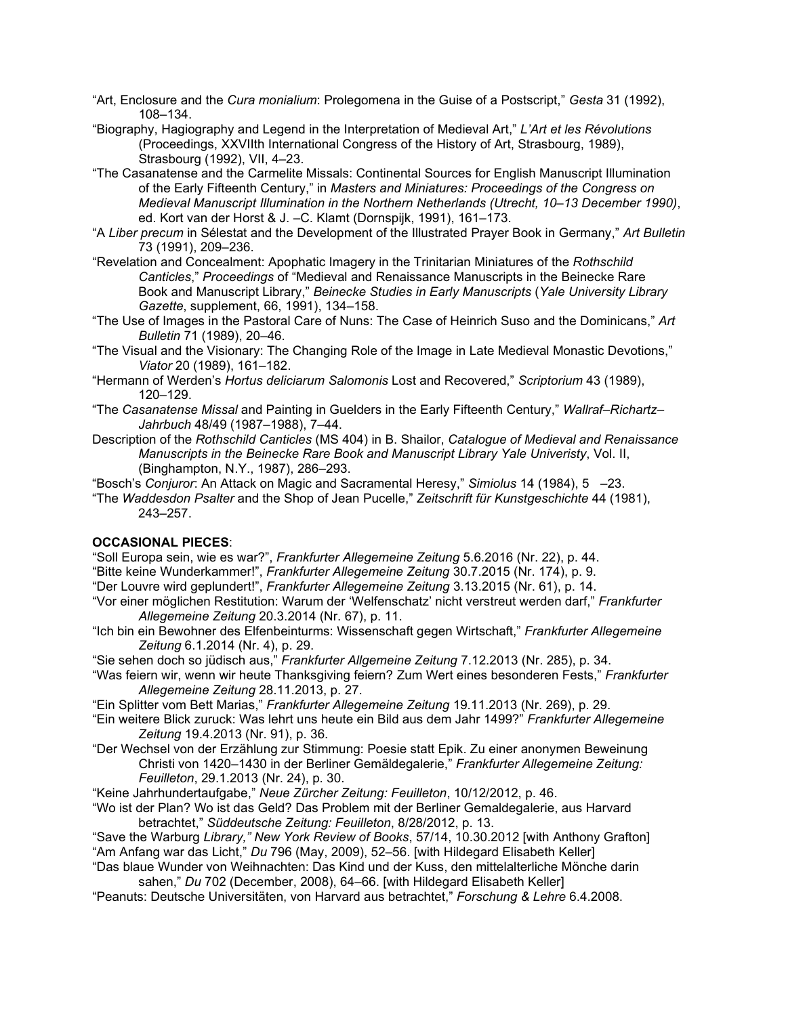- "Art, Enclosure and the *Cura monialium*: Prolegomena in the Guise of a Postscript," *Gesta* 31 (1992), 108–134.
- "Biography, Hagiography and Legend in the Interpretation of Medieval Art," *L'Art et les Révolutions* (Proceedings, XXVIIth International Congress of the History of Art, Strasbourg, 1989), Strasbourg (1992), VII, 4–23.
- "The Casanatense and the Carmelite Missals: Continental Sources for English Manuscript Illumination of the Early Fifteenth Century," in *Masters and Miniatures: Proceedings of the Congress on Medieval Manuscript Illumination in the Northern Netherlands (Utrecht, 10–13 December 1990)*, ed. Kort van der Horst & J. –C. Klamt (Dornspijk, 1991), 161–173.
- "A *Liber precum* in Sélestat and the Development of the Illustrated Prayer Book in Germany," *Art Bulletin* 73 (1991), 209–236.
- "Revelation and Concealment: Apophatic Imagery in the Trinitarian Miniatures of the *Rothschild Canticles*," *Proceedings* of "Medieval and Renaissance Manuscripts in the Beinecke Rare Book and Manuscript Library," *Beinecke Studies in Early Manuscripts* (*Yale University Library Gazette*, supplement, 66, 1991), 134–158.
- "The Use of Images in the Pastoral Care of Nuns: The Case of Heinrich Suso and the Dominicans," *Art Bulletin* 71 (1989), 20–46.
- "The Visual and the Visionary: The Changing Role of the Image in Late Medieval Monastic Devotions," *Viator* 20 (1989), 161–182.
- "Hermann of Werden's *Hortus deliciarum Salomonis* Lost and Recovered," *Scriptorium* 43 (1989), 120–129.
- "The *Casanatense Missal* and Painting in Guelders in the Early Fifteenth Century," *Wallraf*–*Richartz Jahrbuch* 48/49 (1987–1988), 7–44.
- Description of the *Rothschild Canticles* (MS 404) in B. Shailor, *Catalogue of Medieval and Renaissance Manuscripts in the Beinecke Rare Book and Manuscript Library Yale Univeristy*, Vol. II, (Binghampton, N.Y., 1987), 286–293.
- "Bosch's *Conjuror*: An Attack on Magic and Sacramental Heresy," *Simiolus* 14 (1984), 5 –23.
- "The *Waddesdon Psalter* and the Shop of Jean Pucelle," *Zeitschrift für Kunstgeschichte* 44 (1981), 243–257.

# **OCCASIONAL PIECES**:

- "Soll Europa sein, wie es war?", *Frankfurter Allegemeine Zeitung* 5.6.2016 (Nr. 22), p. 44.
- "Bitte keine Wunderkammer!", *Frankfurter Allegemeine Zeitung* 30.7.2015 (Nr. 174), p. 9.
- "Der Louvre wird geplundert!", *Frankfurter Allegemeine Zeitung* 3.13.2015 (Nr. 61), p. 14.
- "Vor einer möglichen Restitution: Warum der 'Welfenschatz' nicht verstreut werden darf," *Frankfurter Allegemeine Zeitung* 20.3.2014 (Nr. 67), p. 11.
- "Ich bin ein Bewohner des Elfenbeinturms: Wissenschaft gegen Wirtschaft," *Frankfurter Allegemeine Zeitung* 6.1.2014 (Nr. 4), p. 29.
- "Sie sehen doch so jüdisch aus," *Frankfurter Allgemeine Zeitung* 7.12.2013 (Nr. 285), p. 34.
- "Was feiern wir, wenn wir heute Thanksgiving feiern? Zum Wert eines besonderen Fests," *Frankfurter Allegemeine Zeitung* 28.11.2013, p. 27.
- "Ein Splitter vom Bett Marias," *Frankfurter Allegemeine Zeitung* 19.11.2013 (Nr. 269), p. 29.
- "Ein weitere Blick zuruck: Was lehrt uns heute ein Bild aus dem Jahr 1499?" *Frankfurter Allegemeine Zeitung* 19.4.2013 (Nr. 91), p. 36.
- "Der Wechsel von der Erzählung zur Stimmung: Poesie statt Epik. Zu einer anonymen Beweinung Christi von 1420–1430 in der Berliner Gemäldegalerie," *Frankfurter Allegemeine Zeitung: Feuilleton*, 29.1.2013 (Nr. 24), p. 30.
- "Keine Jahrhundertaufgabe," *Neue Zürcher Zeitung: Feuilleton*, 10/12/2012, p. 46.
- "Wo ist der Plan? Wo ist das Geld? Das Problem mit der Berliner Gemaldegalerie, aus Harvard betrachtet," *Süddeutsche Zeitung: Feuilleton*, 8/28/2012, p. 13.
- "Save the Warburg *Library," New York Review of Books*, 57/14, 10.30.2012 [with Anthony Grafton] "Am Anfang war das Licht," *Du* 796 (May, 2009), 52–56. [with Hildegard Elisabeth Keller]
- "Das blaue Wunder von Weihnachten: Das Kind und der Kuss, den mittelalterliche Mönche darin sahen," *Du* 702 (December, 2008), 64–66. [with Hildegard Elisabeth Keller]
- "Peanuts: Deutsche Universitäten, von Harvard aus betrachtet," *Forschung & Lehre* 6.4.2008.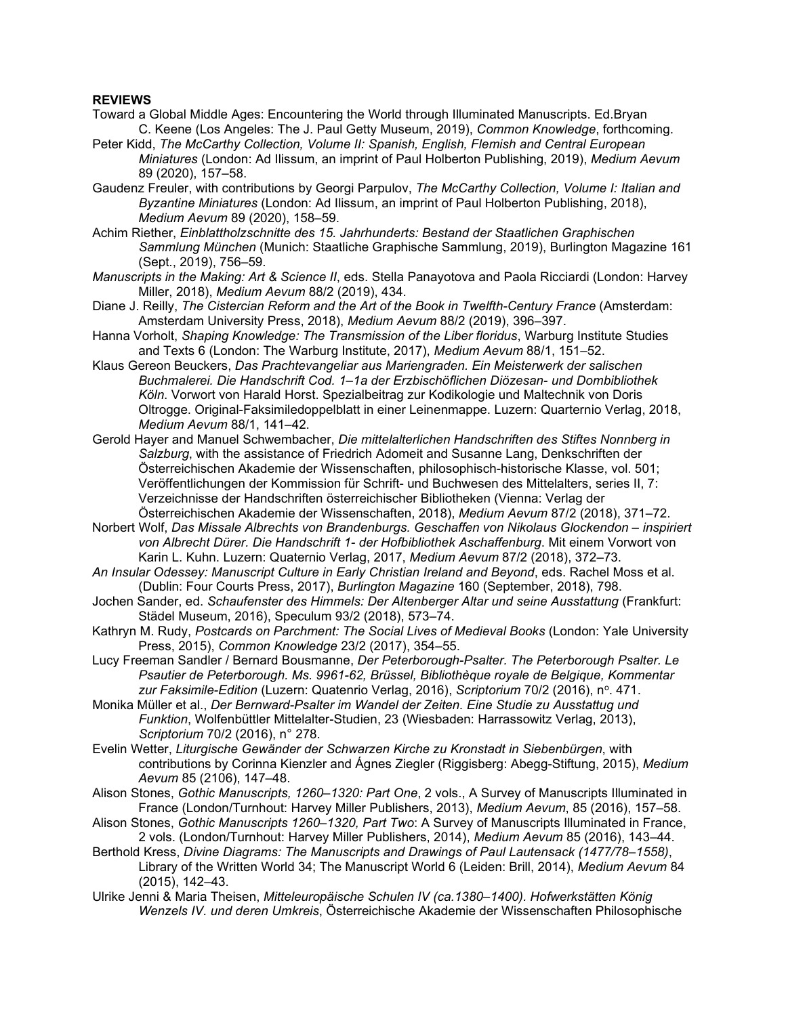### **REVIEWS**

- Toward a Global Middle Ages: Encountering the World through Illuminated Manuscripts. Ed.Bryan C. Keene (Los Angeles: The J. Paul Getty Museum, 2019), *Common Knowledge*, forthcoming.
- Peter Kidd, *The McCarthy Collection, Volume II: Spanish, English, Flemish and Central European Miniatures* (London: Ad Ilissum, an imprint of Paul Holberton Publishing, 2019), *Medium Aevum* 89 (2020), 157–58.
- Gaudenz Freuler, with contributions by Georgi Parpulov, *The McCarthy Collection, Volume I: Italian and Byzantine Miniatures* (London: Ad Ilissum, an imprint of Paul Holberton Publishing, 2018), *Medium Aevum* 89 (2020), 158–59.
- Achim Riether, *Einblattholzschnitte des 15. Jahrhunderts: Bestand der Staatlichen Graphischen Sammlung München* (Munich: Staatliche Graphische Sammlung, 2019), Burlington Magazine 161 (Sept., 2019), 756–59.
- *Manuscripts in the Making: Art & Science II*, eds. Stella Panayotova and Paola Ricciardi (London: Harvey Miller, 2018), *Medium Aevum* 88/2 (2019), 434.
- Diane J. Reilly, *The Cistercian Reform and the Art of the Book in Twelfth-Century France* (Amsterdam: Amsterdam University Press, 2018), *Medium Aevum* 88/2 (2019), 396–397.
- Hanna Vorholt, *Shaping Knowledge: The Transmission of the Liber floridus*, Warburg Institute Studies and Texts 6 (London: The Warburg Institute, 2017), *Medium Aevum* 88/1, 151–52.
- Klaus Gereon Beuckers, *Das Prachtevangeliar aus Mariengraden. Ein Meisterwerk der salischen Buchmalerei. Die Handschrift Cod. 1–1a der Erzbischöflichen Diözesan- und Dombibliothek Köln*. Vorwort von Harald Horst. Spezialbeitrag zur Kodikologie und Maltechnik von Doris Oltrogge. Original-Faksimiledoppelblatt in einer Leinenmappe. Luzern: Quarternio Verlag, 2018, *Medium Aevum* 88/1, 141–42.
- Gerold Hayer and Manuel Schwembacher, *Die mittelalterlichen Handschriften des Stiftes Nonnberg in Salzburg*, with the assistance of Friedrich Adomeit and Susanne Lang, Denkschriften der Österreichischen Akademie der Wissenschaften, philosophisch-historische Klasse, vol. 501; Veröffentlichungen der Kommission für Schrift- und Buchwesen des Mittelalters, series II, 7: Verzeichnisse der Handschriften österreichischer Bibliotheken (Vienna: Verlag der Österreichischen Akademie der Wissenschaften, 2018), *Medium Aevum* 87/2 (2018), 371–72.
- Norbert Wolf, *Das Missale Albrechts von Brandenburgs. Geschaffen von Nikolaus Glockendon – inspiriert von Albrecht Dürer. Die Handschrift 1- der Hofbibliothek Aschaffenburg*. Mit einem Vorwort von Karin L. Kuhn. Luzern: Quaternio Verlag, 2017, *Medium Aevum* 87/2 (2018), 372–73.
- *An Insular Odessey: Manuscript Culture in Early Christian Ireland and Beyond*, eds. Rachel Moss et al. (Dublin: Four Courts Press, 2017), *Burlington Magazine* 160 (September, 2018), 798.
- Jochen Sander, ed. *Schaufenster des Himmels: Der Altenberger Altar und seine Ausstattung* (Frankfurt: Städel Museum, 2016), Speculum 93/2 (2018), 573–74.
- Kathryn M. Rudy, *Postcards on Parchment: The Social Lives of Medieval Books* (London: Yale University Press, 2015), *Common Knowledge* 23/2 (2017), 354–55.
- Lucy Freeman Sandler / Bernard Bousmanne, *Der Peterborough-Psalter. The Peterborough Psalter. Le Psautier de Peterborough. Ms. 9961-62, Brüssel, Bibliothèque royale de Belgique, Kommentar zur Faksimile-Edition* (Luzern: Quatenrio Verlag, 2016), *Scriptorium* 70/2 (2016), no. 471.
- Monika Müller et al., *Der Bernward-Psalter im Wandel der Zeiten. Eine Studie zu Ausstattug und Funktion*, Wolfenbüttler Mittelalter-Studien, 23 (Wiesbaden: Harrassowitz Verlag, 2013), *Scriptorium* 70/2 (2016), n° 278.
- Evelin Wetter, *Liturgische Gewänder der Schwarzen Kirche zu Kronstadt in Siebenbürgen*, with contributions by Corinna Kienzler and Ágnes Ziegler (Riggisberg: Abegg-Stiftung, 2015), *Medium Aevum* 85 (2106), 147–48.
- Alison Stones, *Gothic Manuscripts, 1260–1320: Part One*, 2 vols., A Survey of Manuscripts Illuminated in France (London/Turnhout: Harvey Miller Publishers, 2013), *Medium Aevum*, 85 (2016), 157–58.
- Alison Stones, *Gothic Manuscripts 1260–1320, Part Two*: A Survey of Manuscripts Illuminated in France, 2 vols. (London/Turnhout: Harvey Miller Publishers, 2014), *Medium Aevum* 85 (2016), 143–44.
- Berthold Kress, *Divine Diagrams: The Manuscripts and Drawings of Paul Lautensack (1477/78–1558)*, Library of the Written World 34; The Manuscript World 6 (Leiden: Brill, 2014), *Medium Aevum* 84 (2015), 142–43.
- Ulrike Jenni & Maria Theisen, *Mitteleuropäische Schulen IV (ca.1380–1400). Hofwerkstätten König Wenzels IV. und deren Umkreis*, Österreichische Akademie der Wissenschaften Philosophische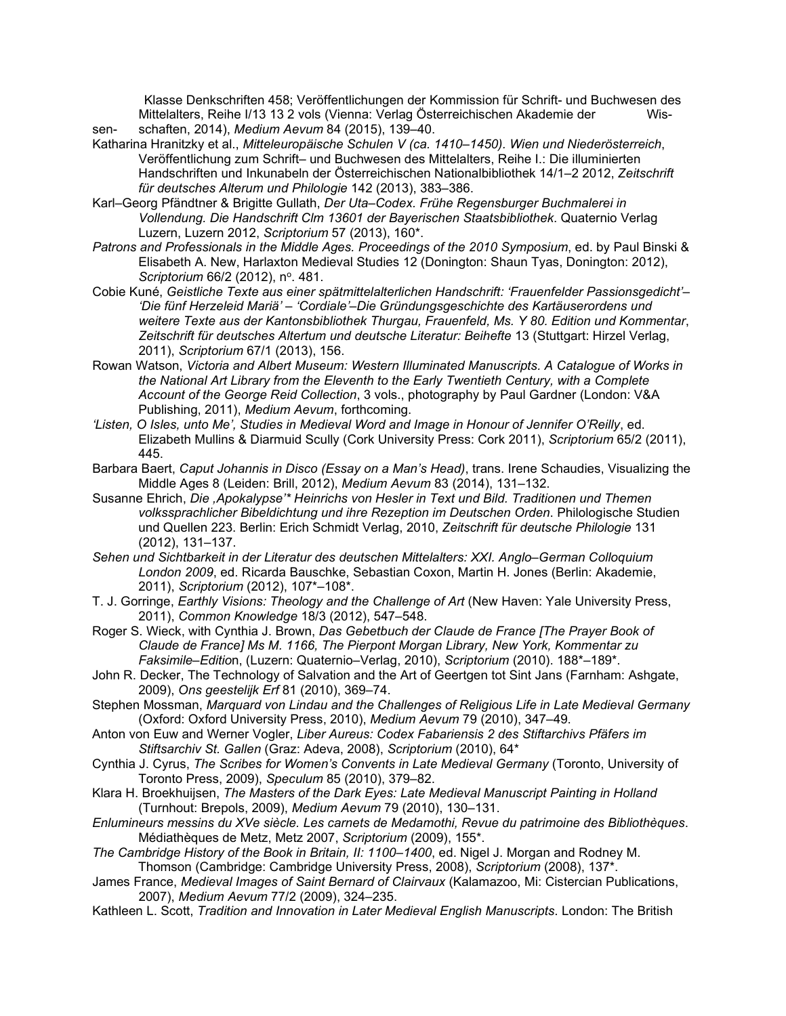Klasse Denkschriften 458; Veröffentlichungen der Kommission für Schrift- und Buchwesen des Mittelalters, Reihe I/13 13 2 vols (Vienna: Verlag Österreichischen Akademie der Wissen- schaften, 2014), *Medium Aevum* 84 (2015), 139–40.

- Katharina Hranitzky et al., *Mitteleuropäische Schulen V (ca. 1410–1450). Wien und Niederösterreich*, Veröffentlichung zum Schrift– und Buchwesen des Mittelalters, Reihe I.: Die illuminierten Handschriften und Inkunabeln der Österreichischen Nationalbibliothek 14/1–2 2012, *Zeitschrift für deutsches Alterum und Philologie* 142 (2013), 383–386.
- Karl–Georg Pfändtner & Brigitte Gullath, *Der Uta–Codex. Frühe Regensburger Buchmalerei in Vollendung. Die Handschrift Clm 13601 der Bayerischen Staatsbibliothek*. Quaternio Verlag Luzern, Luzern 2012, *Scriptorium* 57 (2013), 160\*.
- *Patrons and Professionals in the Middle Ages. Proceedings of the 2010 Symposium*, ed. by Paul Binski & Elisabeth A. New, Harlaxton Medieval Studies 12 (Donington: Shaun Tyas, Donington: 2012), *Scriptorium* 66/2 (2012), n<sup>o</sup>. 481.
- Cobie Kuné, *Geistliche Texte aus einer spätmittelalterlichen Handschrift: 'Frauenfelder Passionsgedicht'– 'Die fünf Herzeleid Mariä' – 'Cordiale'–Die Gründungsgeschichte des Kartäuserordens und weitere Texte aus der Kantonsbibliothek Thurgau, Frauenfeld, Ms. Y 80. Edition und Kommentar*, *Zeitschrift für deutsches Altertum und deutsche Literatur: Beihefte* 13 (Stuttgart: Hirzel Verlag, 2011), *Scriptorium* 67/1 (2013), 156.
- Rowan Watson, *Victoria and Albert Museum: Western Illuminated Manuscripts. A Catalogue of Works in the National Art Library from the Eleventh to the Early Twentieth Century, with a Complete Account of the George Reid Collection*, 3 vols., photography by Paul Gardner (London: V&A Publishing, 2011), *Medium Aevum*, forthcoming.
- *'Listen, O Isles, unto Me', Studies in Medieval Word and Image in Honour of Jennifer O'Reilly*, ed. Elizabeth Mullins & Diarmuid Scully (Cork University Press: Cork 2011), *Scriptorium* 65/2 (2011), 445.
- Barbara Baert, *Caput Johannis in Disco (Essay on a Man's Head)*, trans. Irene Schaudies, Visualizing the Middle Ages 8 (Leiden: Brill, 2012), *Medium Aevum* 83 (2014), 131–132.
- Susanne Ehrich, *Die ,Apokalypse'\* Heinrichs von Hesler in Text und Bild. Traditionen und Themen volkssprachlicher Bibeldichtung und ihre Rezeption im Deutschen Orden*. Philologische Studien und Quellen 223. Berlin: Erich Schmidt Verlag, 2010, *Zeitschrift für deutsche Philologie* 131 (2012), 131–137.
- *Sehen und Sichtbarkeit in der Literatur des deutschen Mittelalters: XXI. Anglo–German Colloquium London 2009*, ed. Ricarda Bauschke, Sebastian Coxon, Martin H. Jones (Berlin: Akademie, 2011), *Scriptorium* (2012), 107\*–108\*.
- T. J. Gorringe, *Earthly Visions: Theology and the Challenge of Art* (New Haven: Yale University Press, 2011), *Common Knowledge* 18/3 (2012), 547–548.
- Roger S. Wieck, with Cynthia J. Brown, *Das Gebetbuch der Claude de France [The Prayer Book of Claude de France] Ms M. 1166, The Pierpont Morgan Library, New York, Kommentar zu Faksimile–Editio*n, (Luzern: Quaternio–Verlag, 2010), *Scriptorium* (2010). 188\*–189\*.
- John R. Decker, The Technology of Salvation and the Art of Geertgen tot Sint Jans (Farnham: Ashgate, 2009), *Ons geestelijk Erf* 81 (2010), 369–74.
- Stephen Mossman, *Marquard von Lindau and the Challenges of Religious Life in Late Medieval Germany* (Oxford: Oxford University Press, 2010), *Medium Aevum* 79 (2010), 347–49.
- Anton von Euw and Werner Vogler, *Liber Aureus: Codex Fabariensis 2 des Stiftarchivs Pfäfers im Stiftsarchiv St. Gallen* (Graz: Adeva, 2008), *Scriptorium* (2010), 64\*
- Cynthia J. Cyrus, *The Scribes for Women's Convents in Late Medieval Germany* (Toronto, University of Toronto Press, 2009), *Speculum* 85 (2010), 379–82.
- Klara H. Broekhuijsen, *The Masters of the Dark Eyes: Late Medieval Manuscript Painting in Holland* (Turnhout: Brepols, 2009), *Medium Aevum* 79 (2010), 130–131.
- *Enlumineurs messins du XVe siècle. Les carnets de Medamothi, Revue du patrimoine des Bibliothèques*. Médiathèques de Metz, Metz 2007, *Scriptorium* (2009), 155\*.

*The Cambridge History of the Book in Britain, II: 1100–1400*, ed. Nigel J. Morgan and Rodney M. Thomson (Cambridge: Cambridge University Press, 2008), *Scriptorium* (2008), 137\*.

James France, *Medieval Images of Saint Bernard of Clairvaux* (Kalamazoo, Mi: Cistercian Publications, 2007), *Medium Aevum* 77/2 (2009), 324–235.

Kathleen L. Scott, *Tradition and Innovation in Later Medieval English Manuscripts*. London: The British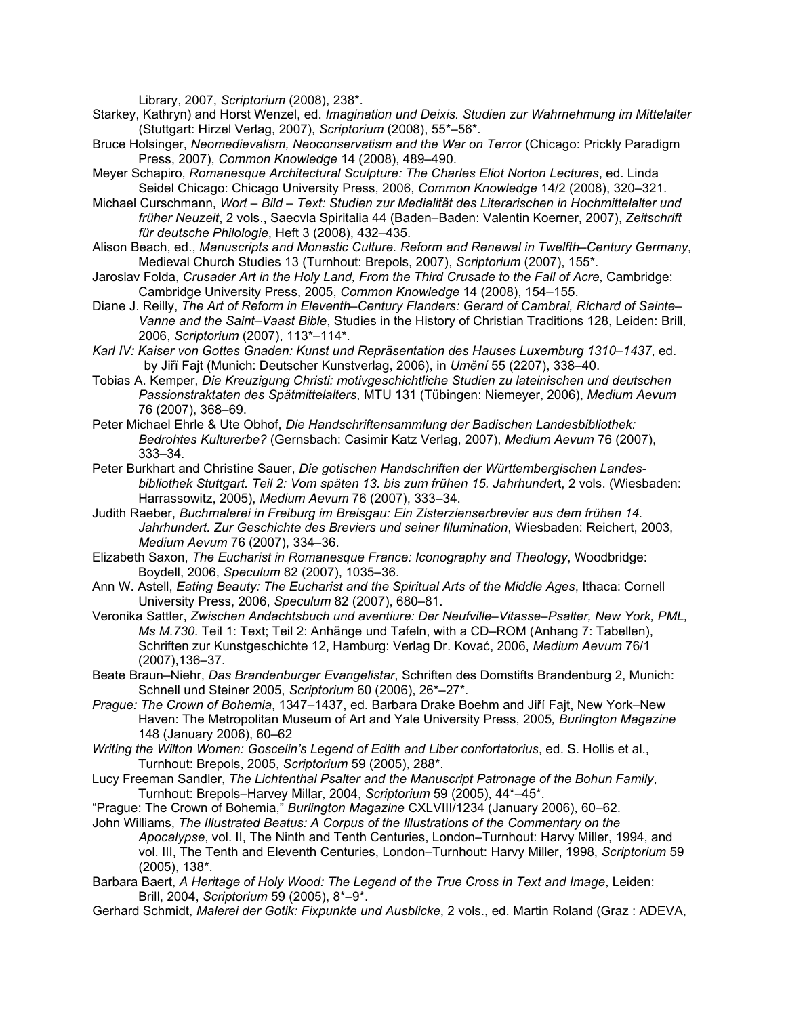Library, 2007, *Scriptorium* (2008), 238\*.

- Starkey, Kathryn) and Horst Wenzel, ed. *Imagination und Deixis. Studien zur Wahrnehmung im Mittelalter* (Stuttgart: Hirzel Verlag, 2007), *Scriptorium* (2008), 55\*–56\*.
- Bruce Holsinger, *Neomedievalism, Neoconservatism and the War on Terror* (Chicago: Prickly Paradigm Press, 2007), *Common Knowledge* 14 (2008), 489–490.
- Meyer Schapiro, *Romanesque Architectural Sculpture: The Charles Eliot Norton Lectures*, ed. Linda Seidel Chicago: Chicago University Press, 2006, *Common Knowledge* 14/2 (2008), 320–321.
- Michael Curschmann, *Wort – Bild – Text: Studien zur Medialität des Literarischen in Hochmittelalter und früher Neuzeit*, 2 vols., Saecvla Spiritalia 44 (Baden–Baden: Valentin Koerner, 2007), *Zeitschrift für deutsche Philologie*, Heft 3 (2008), 432–435.
- Alison Beach, ed., *Manuscripts and Monastic Culture. Reform and Renewal in Twelfth–Century Germany*, Medieval Church Studies 13 (Turnhout: Brepols, 2007), *Scriptorium* (2007), 155\*.
- Jaroslav Folda, *Crusader Art in the Holy Land, From the Third Crusade to the Fall of Acre*, Cambridge: Cambridge University Press, 2005, *Common Knowledge* 14 (2008), 154–155.
- Diane J. Reilly, *The Art of Reform in Eleventh–Century Flanders: Gerard of Cambrai, Richard of Sainte– Vanne and the Saint–Vaast Bible*, Studies in the History of Christian Traditions 128, Leiden: Brill, 2006, *Scriptorium* (2007), 113\*–114\*.
- *Karl IV: Kaiser von Gottes Gnaden: Kunst und Repräsentation des Hauses Luxemburg 1310–1437*, ed. by Jiřï Fajt (Munich: Deutscher Kunstverlag, 2006), in *Umění* 55 (2207), 338–40.
- Tobias A. Kemper, *Die Kreuzigung Christi: motivgeschichtliche Studien zu lateinischen und deutschen Passionstraktaten des Spätmittelalters*, MTU 131 (Tübingen: Niemeyer, 2006), *Medium Aevum* 76 (2007), 368–69.
- Peter Michael Ehrle & Ute Obhof, *Die Handschriftensammlung der Badischen Landesbibliothek: Bedrohtes Kulturerbe?* (Gernsbach: Casimir Katz Verlag, 2007), *Medium Aevum* 76 (2007), 333–34.
- Peter Burkhart and Christine Sauer, *Die gotischen Handschriften der Württembergischen Landesbibliothek Stuttgart. Teil 2: Vom späten 13. bis zum frühen 15. Jahrhunder*t, 2 vols. (Wiesbaden: Harrassowitz, 2005), *Medium Aevum* 76 (2007), 333–34.
- Judith Raeber, *Buchmalerei in Freiburg im Breisgau: Ein Zisterzienserbrevier aus dem frühen 14. Jahrhundert. Zur Geschichte des Breviers und seiner Illumination*, Wiesbaden: Reichert, 2003, *Medium Aevum* 76 (2007), 334–36.
- Elizabeth Saxon, *The Eucharist in Romanesque France: Iconography and Theology*, Woodbridge: Boydell, 2006, *Speculum* 82 (2007), 1035–36.
- Ann W. Astell, *Eating Beauty: The Eucharist and the Spiritual Arts of the Middle Ages*, Ithaca: Cornell University Press, 2006, *Speculum* 82 (2007), 680–81.
- Veronika Sattler, *Zwischen Andachtsbuch und aventiure: Der Neufville–Vitasse–Psalter, New York, PML, Ms M.730*. Teil 1: Text; Teil 2: Anhänge und Tafeln, with a CD–ROM (Anhang 7: Tabellen), Schriften zur Kunstgeschichte 12, Hamburg: Verlag Dr. Kovać, 2006, *Medium Aevum* 76/1 (2007),136–37.
- Beate Braun–Niehr, *Das Brandenburger Evangelistar*, Schriften des Domstifts Brandenburg 2, Munich: Schnell und Steiner 2005, *Scriptorium* 60 (2006), 26\*–27\*.
- *Prague: The Crown of Bohemia*, 1347–1437, ed. Barbara Drake Boehm and Jiří Fajt, New York–New Haven: The Metropolitan Museum of Art and Yale University Press, 2005*, Burlington Magazine* 148 (January 2006), 60–62
- *Writing the Wilton Women: Goscelin's Legend of Edith and Liber confortatorius*, ed. S. Hollis et al., Turnhout: Brepols, 2005, *Scriptorium* 59 (2005), 288\*.
- Lucy Freeman Sandler, *The Lichtenthal Psalter and the Manuscript Patronage of the Bohun Family*, Turnhout: Brepols–Harvey Millar, 2004, *Scriptorium* 59 (2005), 44\*–45\*.
- "Prague: The Crown of Bohemia," *Burlington Magazine* CXLVIII/1234 (January 2006), 60–62.
- John Williams, *The Illustrated Beatus: A Corpus of the Illustrations of the Commentary on the Apocalypse*, vol. II, The Ninth and Tenth Centuries, London–Turnhout: Harvy Miller, 1994, and vol. III, The Tenth and Eleventh Centuries, London–Turnhout: Harvy Miller, 1998, *Scriptorium* 59 (2005), 138\*.
- Barbara Baert, *A Heritage of Holy Wood: The Legend of the True Cross in Text and Image*, Leiden: Brill, 2004, *Scriptorium* 59 (2005), 8\*–9\*.
- Gerhard Schmidt, *Malerei der Gotik: Fixpunkte und Ausblicke*, 2 vols., ed. Martin Roland (Graz : ADEVA,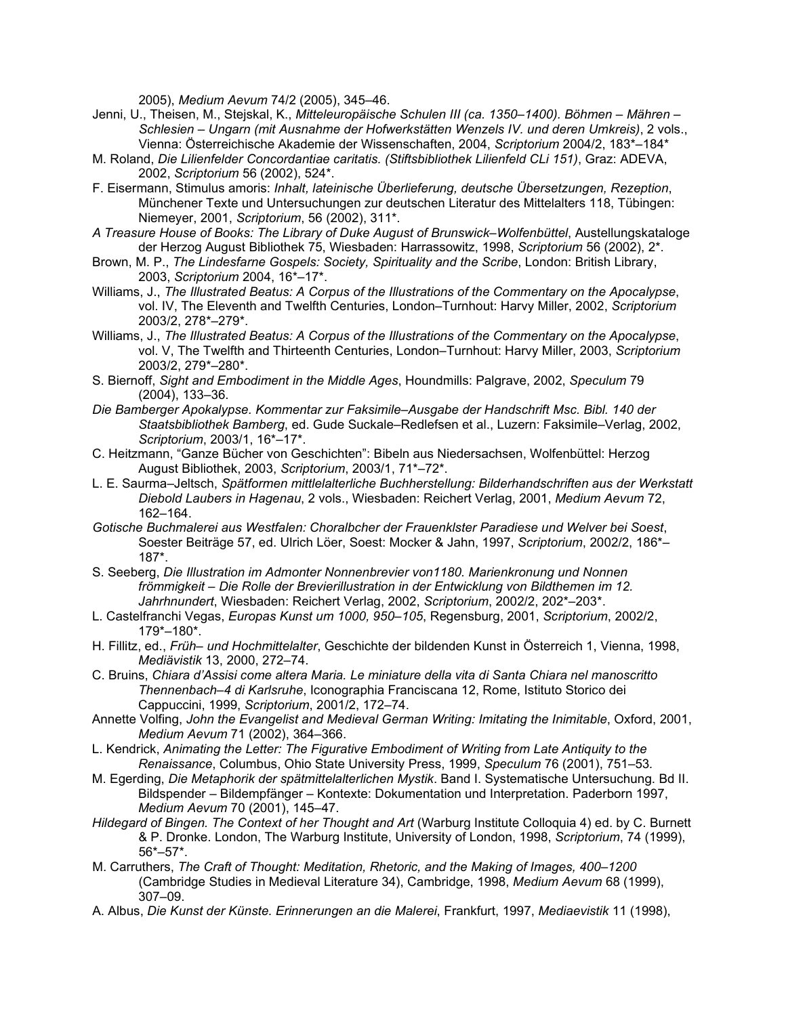2005), *Medium Aevum* 74/2 (2005), 345–46.

- Jenni, U., Theisen, M., Stejskal, K., *Mitteleuropäische Schulen III (ca. 1350–1400). Böhmen – Mähren – Schlesien – Ungarn (mit Ausnahme der Hofwerkstätten Wenzels IV. und deren Umkreis)*, 2 vols., Vienna: Österreichische Akademie der Wissenschaften, 2004, *Scriptorium* 2004/2, 183\*–184\*
- M. Roland, *Die Lilienfelder Concordantiae caritatis. (Stiftsbibliothek Lilienfeld CLi 151)*, Graz: ADEVA, 2002, *Scriptorium* 56 (2002), 524\*.
- F. Eisermann, Stimulus amoris: *Inhalt, lateinische Überlieferung, deutsche Übersetzungen, Rezeption*, Münchener Texte und Untersuchungen zur deutschen Literatur des Mittelalters 118, Tübingen: Niemeyer, 2001, *Scriptorium*, 56 (2002), 311\*.
- *A Treasure House of Books: The Library of Duke August of Brunswick–Wolfenbüttel*, Austellungskataloge der Herzog August Bibliothek 75, Wiesbaden: Harrassowitz, 1998, *Scriptorium* 56 (2002), 2\*.
- Brown, M. P., *The Lindesfarne Gospels: Society, Spirituality and the Scribe*, London: British Library, 2003, *Scriptorium* 2004, 16\*–17\*.
- Williams, J., *The Illustrated Beatus: A Corpus of the Illustrations of the Commentary on the Apocalypse*, vol. IV, The Eleventh and Twelfth Centuries, London–Turnhout: Harvy Miller, 2002, *Scriptorium* 2003/2, 278\*–279\*.
- Williams, J., *The Illustrated Beatus: A Corpus of the Illustrations of the Commentary on the Apocalypse*, vol. V, The Twelfth and Thirteenth Centuries, London–Turnhout: Harvy Miller, 2003, *Scriptorium* 2003/2, 279\*–280\*.
- S. Biernoff, *Sight and Embodiment in the Middle Ages*, Houndmills: Palgrave, 2002, *Speculum* 79 (2004), 133–36.
- *Die Bamberger Apokalypse. Kommentar zur Faksimile–Ausgabe der Handschrift Msc. Bibl. 140 der Staatsbibliothek Bamberg*, ed. Gude Suckale–Redlefsen et al., Luzern: Faksimile–Verlag, 2002, *Scriptorium*, 2003/1, 16\*–17\*.
- C. Heitzmann, "Ganze Bücher von Geschichten": Bibeln aus Niedersachsen, Wolfenbüttel: Herzog August Bibliothek, 2003, *Scriptorium*, 2003/1, 71\*–72\*.
- L. E. Saurma–Jeltsch, *Spätformen mittlelalterliche Buchherstellung: Bilderhandschriften aus der Werkstatt Diebold Laubers in Hagenau*, 2 vols., Wiesbaden: Reichert Verlag, 2001, *Medium Aevum* 72, 162–164.
- *Gotische Buchmalerei aus Westfalen: Choralbcher der Frauenklster Paradiese und Welver bei Soest*, Soester Beiträge 57, ed. Ulrich Löer, Soest: Mocker & Jahn, 1997, *Scriptorium*, 2002/2, 186\*– 187\*.
- S. Seeberg, *Die Illustration im Admonter Nonnenbrevier von1180. Marienkronung und Nonnen frömmigkeit – Die Rolle der Brevierillustration in der Entwicklung von Bildthemen im 12. Jahrhnundert*, Wiesbaden: Reichert Verlag, 2002, *Scriptorium*, 2002/2, 202\*–203\*.
- L. Castelfranchi Vegas, *Europas Kunst um 1000, 950–105*, Regensburg, 2001, *Scriptorium*, 2002/2, 179\*–180\*.
- H. Fillitz, ed., *Früh– und Hochmittelalter*, Geschichte der bildenden Kunst in Österreich 1, Vienna, 1998, *Mediävistik* 13, 2000, 272–74.
- C. Bruins, *Chiara d'Assisi come altera Maria. Le miniature della vita di Santa Chiara nel manoscritto Thennenbach–4 di Karlsruhe*, Iconographia Franciscana 12, Rome, Istituto Storico dei Cappuccini, 1999, *Scriptorium*, 2001/2, 172–74.
- Annette Volfing, *John the Evangelist and Medieval German Writing: Imitating the Inimitable*, Oxford, 2001, *Medium Aevum* 71 (2002), 364–366.
- L. Kendrick, *Animating the Letter: The Figurative Embodiment of Writing from Late Antiquity to the Renaissance*, Columbus, Ohio State University Press, 1999, *Speculum* 76 (2001), 751–53*.*
- M. Egerding, *Die Metaphorik der spätmittelalterlichen Mystik*. Band I. Systematische Untersuchung. Bd II. Bildspender – Bildempfänger – Kontexte: Dokumentation und Interpretation. Paderborn 1997, *Medium Aevum* 70 (2001), 145–47.
- *Hildegard of Bingen. The Context of her Thought and Art* (Warburg Institute Colloquia 4) ed. by C. Burnett & P. Dronke. London, The Warburg Institute, University of London, 1998, *Scriptorium*, 74 (1999), 56\*–57\*.
- M. Carruthers, *The Craft of Thought: Meditation, Rhetoric, and the Making of Images, 400–1200* (Cambridge Studies in Medieval Literature 34), Cambridge, 1998, *Medium Aevum* 68 (1999), 307–09.
- A. Albus, *Die Kunst der Künste. Erinnerungen an die Malerei*, Frankfurt, 1997, *Mediaevistik* 11 (1998),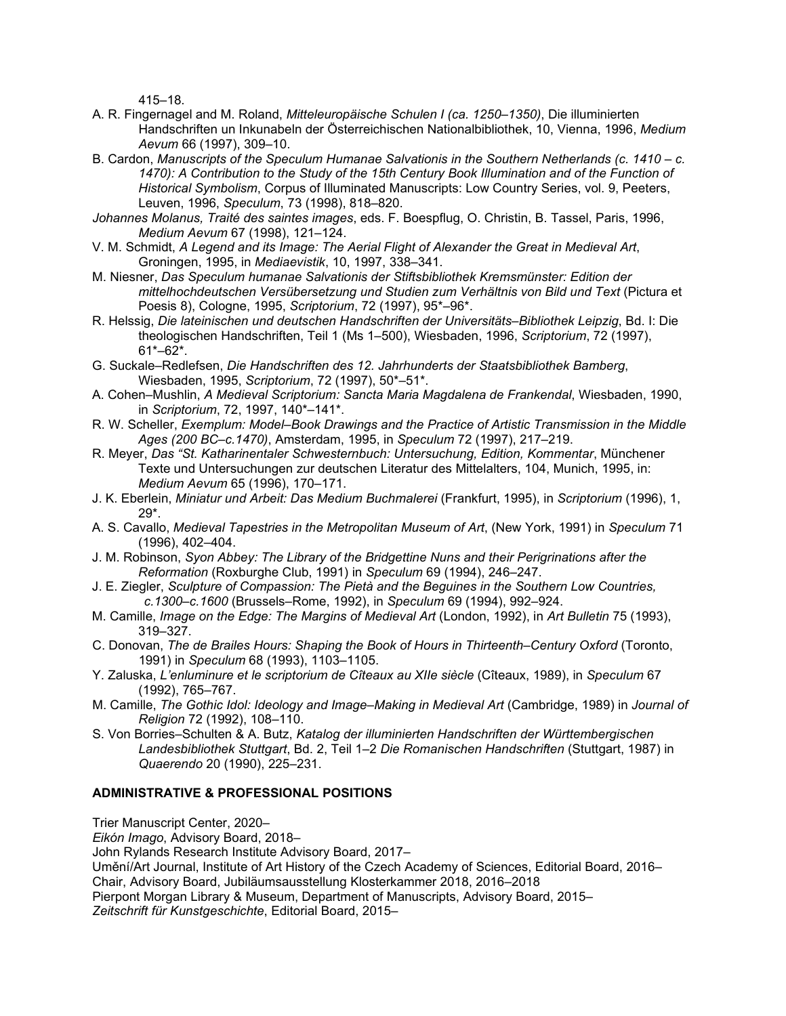415–18.

- A. R. Fingernagel and M. Roland, *Mitteleuropäische Schulen I (ca. 1250–1350)*, Die illuminierten Handschriften un Inkunabeln der Österreichischen Nationalbibliothek, 10, Vienna, 1996, *Medium Aevum* 66 (1997), 309–10.
- B. Cardon, *Manuscripts of the Speculum Humanae Salvationis in the Southern Netherlands (c. 1410 – c. 1470): A Contribution to the Study of the 15th Century Book Illumination and of the Function of Historical Symbolism*, Corpus of Illuminated Manuscripts: Low Country Series, vol. 9, Peeters, Leuven, 1996, *Speculum*, 73 (1998), 818–820.
- *Johannes Molanus, Traité des saintes images*, eds. F. Boespflug, O. Christin, B. Tassel, Paris, 1996, *Medium Aevum* 67 (1998), 121–124.
- V. M. Schmidt, *A Legend and its Image: The Aerial Flight of Alexander the Great in Medieval Art*, Groningen, 1995, in *Mediaevistik*, 10, 1997, 338–341.
- M. Niesner, *Das Speculum humanae Salvationis der Stiftsbibliothek Kremsmünster: Edition der mittelhochdeutschen Versübersetzung und Studien zum Verhältnis von Bild und Text* (Pictura et Poesis 8), Cologne, 1995, *Scriptorium*, 72 (1997), 95\*–96\*.
- R. Helssig, *Die lateinischen und deutschen Handschriften der Universitäts–Bibliothek Leipzig*, Bd. I: Die theologischen Handschriften, Teil 1 (Ms 1–500), Wiesbaden, 1996, *Scriptorium*, 72 (1997), 61\*–62\*.
- G. Suckale–Redlefsen, *Die Handschriften des 12. Jahrhunderts der Staatsbibliothek Bamberg*, Wiesbaden, 1995, *Scriptorium*, 72 (1997), 50\*–51\*.
- A. Cohen–Mushlin, *A Medieval Scriptorium: Sancta Maria Magdalena de Frankendal*, Wiesbaden, 1990, in *Scriptorium*, 72, 1997, 140\*–141\*.
- R. W. Scheller, *Exemplum: Model–Book Drawings and the Practice of Artistic Transmission in the Middle Ages (200 BC–c.1470)*, Amsterdam, 1995, in *Speculum* 72 (1997), 217–219.
- R. Meyer, *Das "St. Katharinentaler Schwesternbuch: Untersuchung, Edition, Kommentar*, Münchener Texte und Untersuchungen zur deutschen Literatur des Mittelalters, 104, Munich, 1995, in: *Medium Aevum* 65 (1996), 170–171.
- J. K. Eberlein, *Miniatur und Arbeit: Das Medium Buchmalerei* (Frankfurt, 1995), in *Scriptorium* (1996), 1, 29\*.
- A. S. Cavallo, *Medieval Tapestries in the Metropolitan Museum of Art*, (New York, 1991) in *Speculum* 71 (1996), 402–404.
- J. M. Robinson, *Syon Abbey: The Library of the Bridgettine Nuns and their Perigrinations after the Reformation* (Roxburghe Club, 1991) in *Speculum* 69 (1994), 246–247.
- J. E. Ziegler, *Sculpture of Compassion: The Pietà and the Beguines in the Southern Low Countries, c.1300–c.1600* (Brussels–Rome, 1992), in *Speculum* 69 (1994), 992–924.
- M. Camille, *Image on the Edge: The Margins of Medieval Art* (London, 1992), in *Art Bulletin* 75 (1993), 319–327.
- C. Donovan, *The de Brailes Hours: Shaping the Book of Hours in Thirteenth–Century Oxford* (Toronto, 1991) in *Speculum* 68 (1993), 1103–1105.
- Y. Zaluska, *L'enluminure et le scriptorium de Cîteaux au XIIe siècle* (Cîteaux, 1989), in *Speculum* 67 (1992), 765–767.
- M. Camille, *The Gothic Idol: Ideology and Image–Making in Medieval Art* (Cambridge, 1989) in *Journal of Religion* 72 (1992), 108–110.
- S. Von Borries–Schulten & A. Butz, *Katalog der illuminierten Handschriften der Württembergischen Landesbibliothek Stuttgart*, Bd. 2, Teil 1–2 *Die Romanischen Handschriften* (Stuttgart, 1987) in *Quaerendo* 20 (1990), 225–231.

## **ADMINISTRATIVE & PROFESSIONAL POSITIONS**

Trier Manuscript Center, 2020–

*Eikón Imago*, Advisory Board, 2018–

John Rylands Research Institute Advisory Board, 2017–

Umění/Art Journal, Institute of Art History of the Czech Academy of Sciences, Editorial Board, 2016– Chair, Advisory Board, Jubiläumsausstellung Klosterkammer 2018, 2016–2018

Pierpont Morgan Library & Museum, Department of Manuscripts, Advisory Board, 2015–

*Zeitschrift für Kunstgeschichte*, Editorial Board, 2015–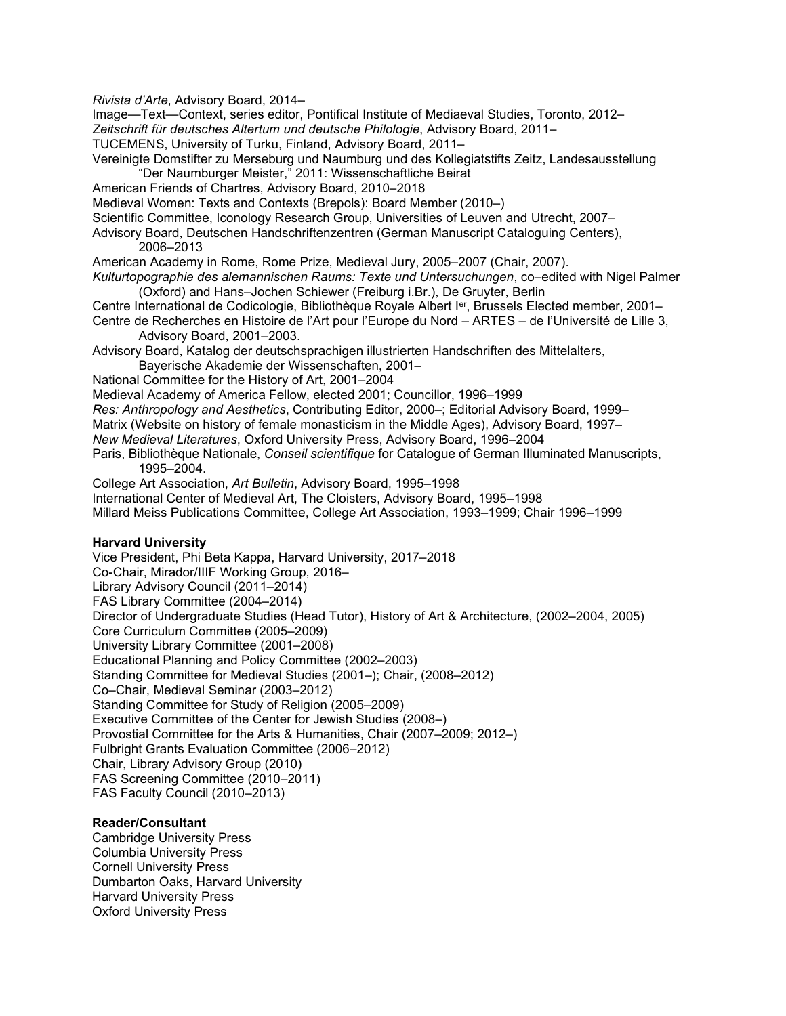*Rivista d'Arte*, Advisory Board, 2014–

Image—Text—Context, series editor, Pontifical Institute of Mediaeval Studies, Toronto, 2012– *Zeitschrift für deutsches Altertum und deutsche Philologie*, Advisory Board, 2011–

TUCEMENS, University of Turku, Finland, Advisory Board, 2011–

Vereinigte Domstifter zu Merseburg und Naumburg und des Kollegiatstifts Zeitz, Landesausstellung "Der Naumburger Meister," 2011: Wissenschaftliche Beirat

American Friends of Chartres, Advisory Board, 2010–2018

Medieval Women: Texts and Contexts (Brepols): Board Member (2010–)

Scientific Committee, Iconology Research Group, Universities of Leuven and Utrecht, 2007–

Advisory Board, Deutschen Handschriftenzentren (German Manuscript Cataloguing Centers), 2006–2013

American Academy in Rome, Rome Prize, Medieval Jury, 2005–2007 (Chair, 2007).

*Kulturtopographie des alemannischen Raums: Texte und Untersuchungen*, co–edited with Nigel Palmer (Oxford) and Hans–Jochen Schiewer (Freiburg i.Br.), De Gruyter, Berlin

Centre International de Codicologie, Bibliothèque Royale Albert Ier, Brussels Elected member, 2001– Centre de Recherches en Histoire de l'Art pour l'Europe du Nord – ARTES – de l'Université de Lille 3,

Advisory Board, 2001–2003.

Advisory Board, Katalog der deutschsprachigen illustrierten Handschriften des Mittelalters, Bayerische Akademie der Wissenschaften, 2001–

National Committee for the History of Art, 2001–2004

Medieval Academy of America Fellow, elected 2001; Councillor, 1996–1999

*Res: Anthropology and Aesthetics*, Contributing Editor, 2000–; Editorial Advisory Board, 1999–

Matrix (Website on history of female monasticism in the Middle Ages), Advisory Board, 1997–

*New Medieval Literatures*, Oxford University Press, Advisory Board, 1996–2004

Paris, Bibliothèque Nationale, *Conseil scientifique* for Catalogue of German Illuminated Manuscripts, 1995–2004.

College Art Association, *Art Bulletin*, Advisory Board, 1995–1998

International Center of Medieval Art, The Cloisters, Advisory Board, 1995–1998

Millard Meiss Publications Committee, College Art Association, 1993–1999; Chair 1996–1999

## **Harvard University**

Vice President, Phi Beta Kappa, Harvard University, 2017–2018 Co-Chair, Mirador/IIIF Working Group, 2016– Library Advisory Council (2011–2014) FAS Library Committee (2004–2014) Director of Undergraduate Studies (Head Tutor), History of Art & Architecture, (2002–2004, 2005) Core Curriculum Committee (2005–2009) University Library Committee (2001–2008) Educational Planning and Policy Committee (2002–2003) Standing Committee for Medieval Studies (2001–); Chair, (2008–2012) Co–Chair, Medieval Seminar (2003–2012) Standing Committee for Study of Religion (2005–2009) Executive Committee of the Center for Jewish Studies (2008–) Provostial Committee for the Arts & Humanities, Chair (2007–2009; 2012–) Fulbright Grants Evaluation Committee (2006–2012) Chair, Library Advisory Group (2010) FAS Screening Committee (2010–2011) FAS Faculty Council (2010–2013)

## **Reader/Consultant**

Cambridge University Press Columbia University Press Cornell University Press Dumbarton Oaks, Harvard University Harvard University Press Oxford University Press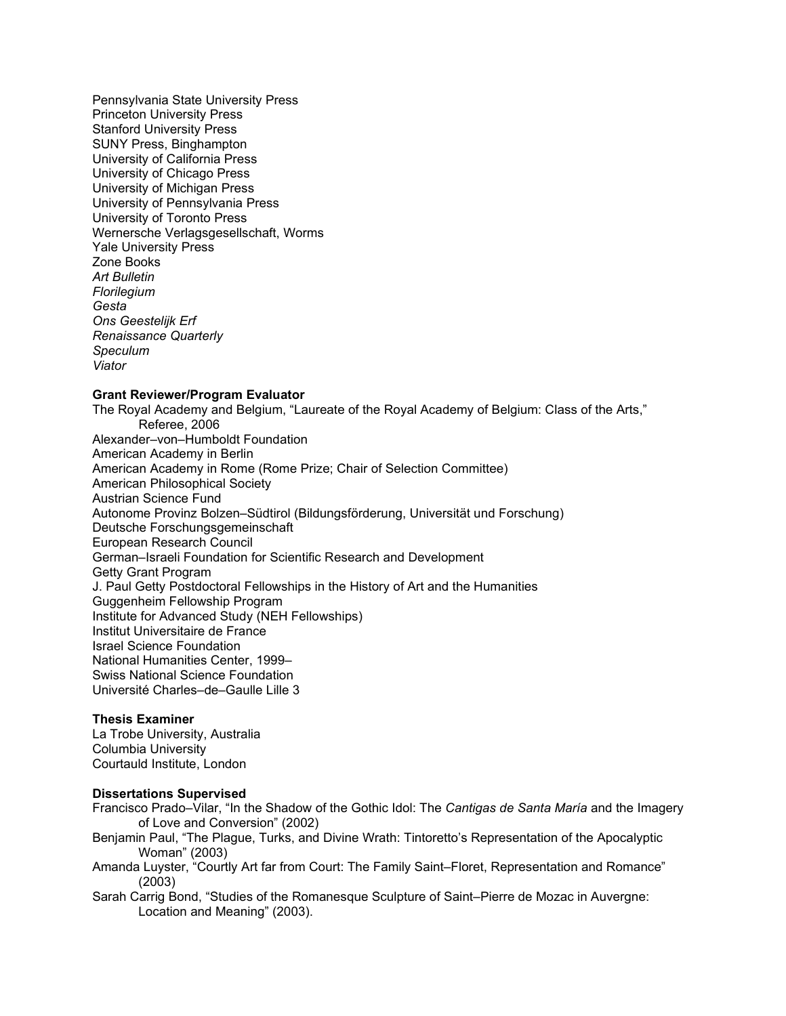Pennsylvania State University Press Princeton University Press Stanford University Press SUNY Press, Binghampton University of California Press University of Chicago Press University of Michigan Press University of Pennsylvania Press University of Toronto Press Wernersche Verlagsgesellschaft, Worms Yale University Press Zone Books *Art Bulletin Florilegium Gesta Ons Geestelijk Erf Renaissance Quarterly Speculum Viator*

## **Grant Reviewer/Program Evaluator**

The Royal Academy and Belgium, "Laureate of the Royal Academy of Belgium: Class of the Arts," Referee, 2006 Alexander–von–Humboldt Foundation American Academy in Berlin American Academy in Rome (Rome Prize; Chair of Selection Committee) American Philosophical Society Austrian Science Fund Autonome Provinz Bolzen–Südtirol (Bildungsförderung, Universität und Forschung) Deutsche Forschungsgemeinschaft European Research Council German–Israeli Foundation for Scientific Research and Development Getty Grant Program J. Paul Getty Postdoctoral Fellowships in the History of Art and the Humanities Guggenheim Fellowship Program Institute for Advanced Study (NEH Fellowships) Institut Universitaire de France Israel Science Foundation National Humanities Center, 1999– Swiss National Science Foundation Université Charles–de–Gaulle Lille 3

### **Thesis Examiner**

La Trobe University, Australia Columbia University Courtauld Institute, London

#### **Dissertations Supervised**

Francisco Prado–Vilar, "In the Shadow of the Gothic Idol: The *Cantigas de Santa María* and the Imagery of Love and Conversion" (2002)

- Benjamin Paul, "The Plague, Turks, and Divine Wrath: Tintoretto's Representation of the Apocalyptic Woman" (2003)
- Amanda Luyster, "Courtly Art far from Court: The Family Saint–Floret, Representation and Romance" (2003)
- Sarah Carrig Bond, "Studies of the Romanesque Sculpture of Saint–Pierre de Mozac in Auvergne: Location and Meaning" (2003).